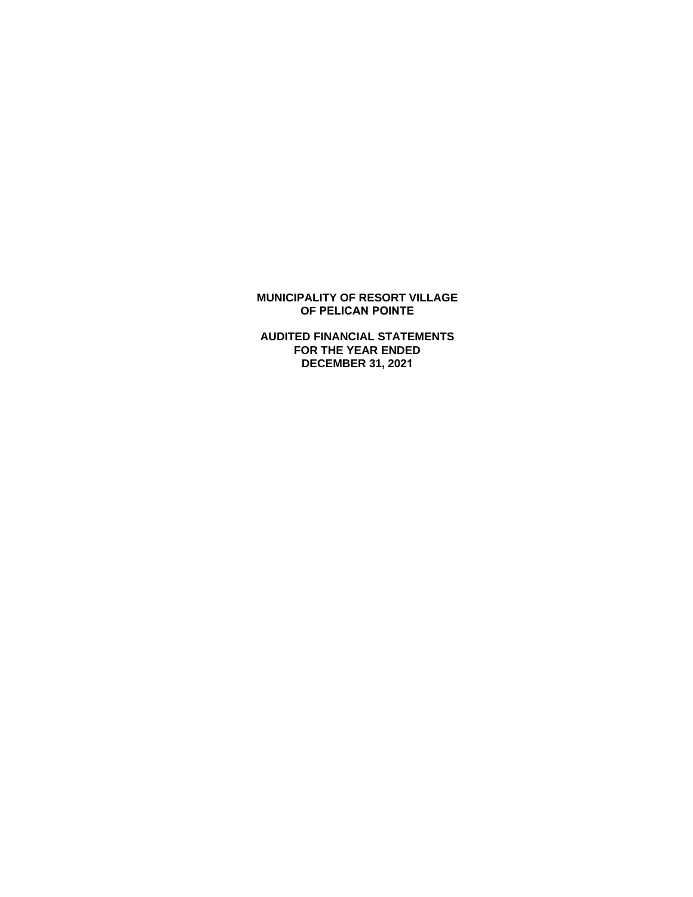# **MUNICIPALITY OF RESORT VILLAGE OF PELICAN POINTE**

**AUDITED FINANCIAL STATEMENTS FOR THE YEAR ENDED DECEMBER 31, 2021**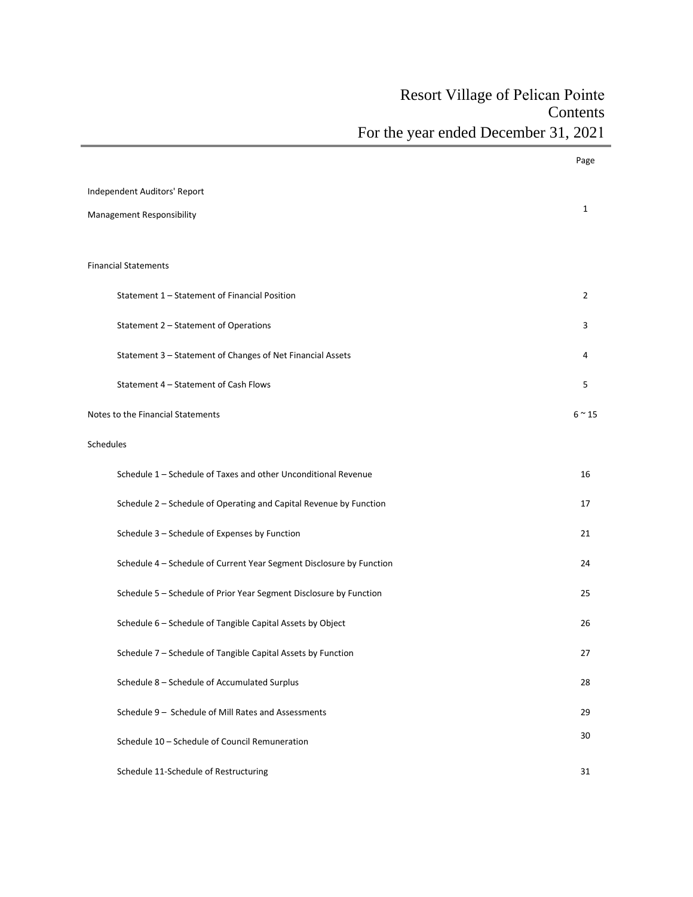# Resort Village of Pelican Pointe **Contents** For the year ended December 31, 2021

|           |                                                                      | Page           |
|-----------|----------------------------------------------------------------------|----------------|
|           | Independent Auditors' Report                                         |                |
|           | Management Responsibility                                            | 1              |
|           |                                                                      |                |
|           | <b>Financial Statements</b>                                          |                |
|           | Statement 1 - Statement of Financial Position                        | $\overline{2}$ |
|           | Statement 2 - Statement of Operations                                | 3              |
|           | Statement 3 - Statement of Changes of Net Financial Assets           | 4              |
|           | Statement 4 - Statement of Cash Flows                                | 5              |
|           | Notes to the Financial Statements                                    | $6 \approx 15$ |
| Schedules |                                                                      |                |
|           | Schedule 1 - Schedule of Taxes and other Unconditional Revenue       | 16             |
|           | Schedule 2 - Schedule of Operating and Capital Revenue by Function   | 17             |
|           | Schedule 3 - Schedule of Expenses by Function                        | 21             |
|           | Schedule 4 - Schedule of Current Year Segment Disclosure by Function | 24             |
|           | Schedule 5 - Schedule of Prior Year Segment Disclosure by Function   | 25             |
|           | Schedule 6 - Schedule of Tangible Capital Assets by Object           | 26             |
|           | Schedule 7 - Schedule of Tangible Capital Assets by Function         | 27             |
|           | Schedule 8 - Schedule of Accumulated Surplus                         | 28             |
|           | Schedule 9 - Schedule of Mill Rates and Assessments                  | 29             |
|           | Schedule 10 - Schedule of Council Remuneration                       | 30             |
|           | Schedule 11-Schedule of Restructuring                                | 31             |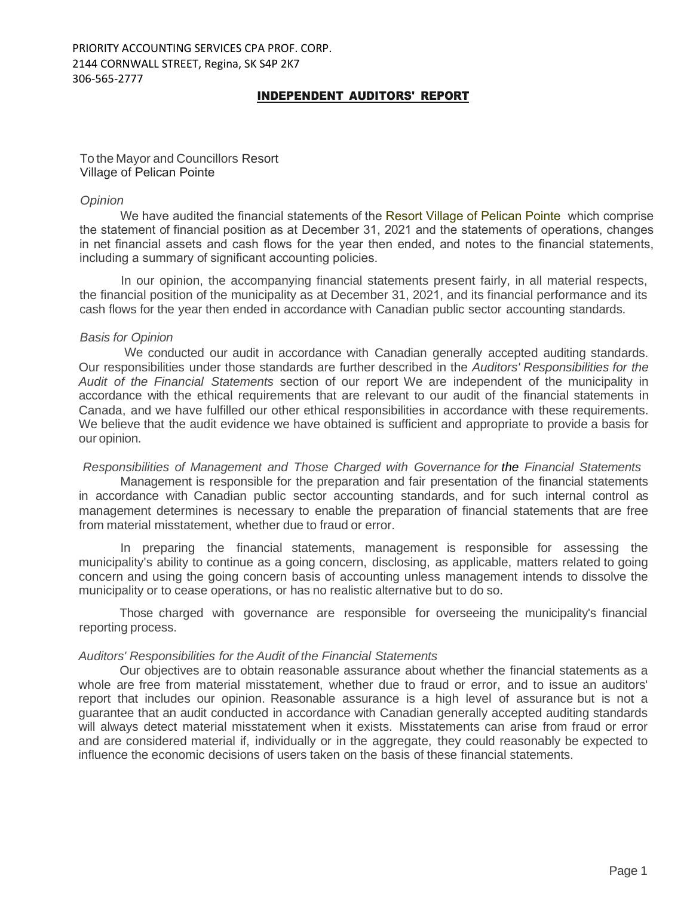# INDEPENDENT AUDITORS' REPORT

To the Mayor and Councillors Resort Village of Pelican Pointe

# *Opinion*

We have audited the financial statements of the Resort Village of Pelican Pointewhich comprise the statement of financial position as at December 31, 2021 and the statements of operations, changes in net financial assets and cash flows for the year then ended, and notes to the financial statements, including a summary of significant accounting policies.

In our opinion, the accompanying financial statements present fairly, in all material respects, the financial position of the municipality as at December 31, 2021, and its financial performance and its cash flows for the year then ended in accordance with Canadian public sector accounting standards.

# *Basis for Opinion*

We conducted our audit in accordance with Canadian generally accepted auditing standards. Our responsibilities under those standards are further described in the *Auditors' Responsibilities for the Audit of the Financial Statements* section of our report We are independent of the municipality in accordance with the ethical requirements that are relevant to our audit of the financial statements in Canada, and we have fulfilled our other ethical responsibilities in accordance with these requirements. We believe that the audit evidence we have obtained is sufficient and appropriate to provide a basis for our opinion.

*Responsibilities of Management and Those Charged with Governance for the Financial Statements*

Management is responsible for the preparation and fair presentation of the financial statements in accordance with Canadian public sector accounting standards, and for such internal control as management determines is necessary to enable the preparation of financial statements that are free from material misstatement, whether due to fraud or error.

In preparing the financial statements, management is responsible for assessing the municipality's ability to continue as a going concern, disclosing, as applicable, matters related to going concern and using the going concern basis of accounting unless management intends to dissolve the municipality or to cease operations, or has no realistic alternative but to do so.

Those charged with governance are responsible for overseeing the municipality's financial reporting process.

# *Auditors' Responsibilities for the Audit of the Financial Statements*

Our objectives are to obtain reasonable assurance about whether the financial statements as a whole are free from material misstatement, whether due to fraud or error, and to issue an auditors' report that includes our opinion. Reasonable assurance is a high level of assurance but is not a guarantee that an audit conducted in accordance with Canadian generally accepted auditing standards will always detect material misstatement when it exists. Misstatements can arise from fraud or error and are considered material if, individually or in the aggregate, they could reasonably be expected to influence the economic decisions of users taken on the basis of these financial statements.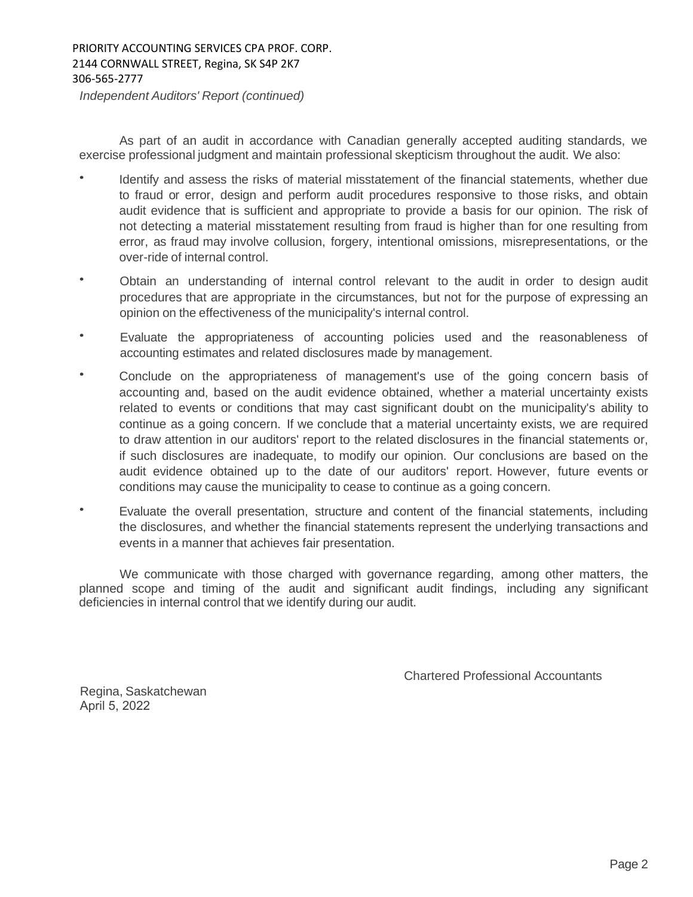*Independent Auditors' Report (continued)*

As part of an audit in accordance with Canadian generally accepted auditing standards, we exercise professional judgment and maintain professional skepticism throughout the audit. We also:

- Identify and assess the risks of material misstatement of the financial statements, whether due to fraud or error, design and perform audit procedures responsive to those risks, and obtain audit evidence that is sufficient and appropriate to provide a basis for our opinion. The risk of not detecting a material misstatement resulting from fraud is higher than for one resulting from error, as fraud may involve collusion, forgery, intentional omissions, misrepresentations, or the over-ride of internal control.
- Obtain an understanding of internal control relevant to the audit in order to design audit procedures that are appropriate in the circumstances, but not for the purpose of expressing an opinion on the effectiveness of the municipality's internal control.
- Evaluate the appropriateness of accounting policies used and the reasonableness of accounting estimates and related disclosures made by management.
- Conclude on the appropriateness of management's use of the going concern basis of accounting and, based on the audit evidence obtained, whether a material uncertainty exists related to events or conditions that may cast significant doubt on the municipality's ability to continue as a going concern. If we conclude that a material uncertainty exists, we are required to draw attention in our auditors' report to the related disclosures in the financial statements or, if such disclosures are inadequate, to modify our opinion. Our conclusions are based on the audit evidence obtained up to the date of our auditors' report. However, future events or conditions may cause the municipality to cease to continue as a going concern.
- Evaluate the overall presentation, structure and content of the financial statements, including the disclosures, and whether the financial statements represent the underlying transactions and events in a manner that achieves fair presentation.

We communicate with those charged with governance regarding, among other matters, the planned scope and timing of the audit and significant audit findings, including any significant deficiencies in internal control that we identify during our audit.

Chartered Professional Accountants

Regina, Saskatchewan April 5, 2022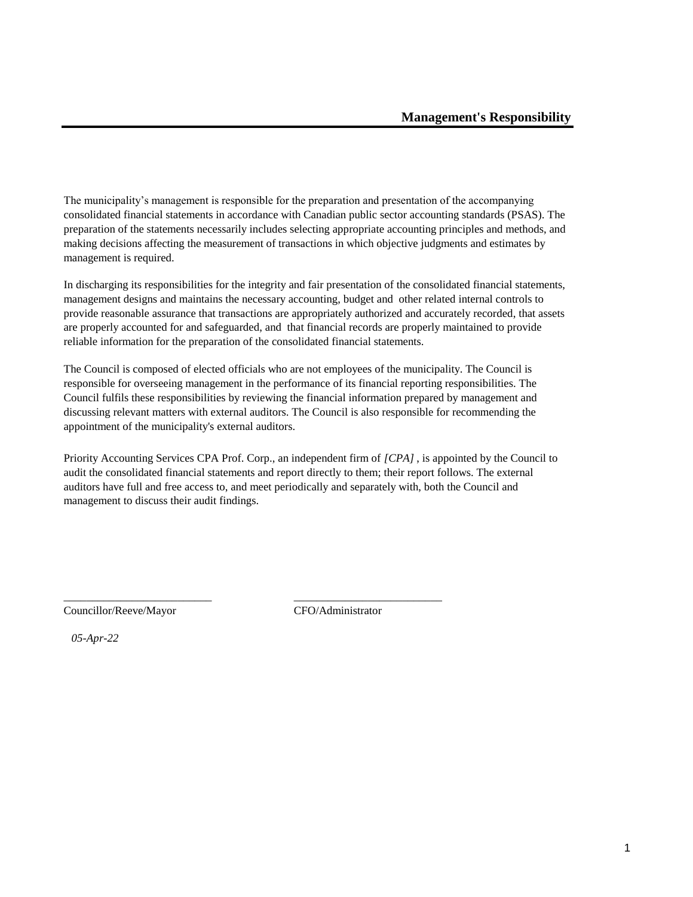The municipality's management is responsible for the preparation and presentation of the accompanying consolidated financial statements in accordance with Canadian public sector accounting standards (PSAS). The preparation of the statements necessarily includes selecting appropriate accounting principles and methods, and making decisions affecting the measurement of transactions in which objective judgments and estimates by management is required.

In discharging its responsibilities for the integrity and fair presentation of the consolidated financial statements, management designs and maintains the necessary accounting, budget and other related internal controls to provide reasonable assurance that transactions are appropriately authorized and accurately recorded, that assets are properly accounted for and safeguarded, and that financial records are properly maintained to provide reliable information for the preparation of the consolidated financial statements.

The Council is composed of elected officials who are not employees of the municipality. The Council is responsible for overseeing management in the performance of its financial reporting responsibilities. The Council fulfils these responsibilities by reviewing the financial information prepared by management and discussing relevant matters with external auditors. The Council is also responsible for recommending the appointment of the municipality's external auditors.

Priority Accounting Services CPA Prof. Corp., an independent firm of *[CPA]* , is appointed by the Council to audit the consolidated financial statements and report directly to them; their report follows. The external auditors have full and free access to, and meet periodically and separately with, both the Council and management to discuss their audit findings.

\_\_\_\_\_\_\_\_\_\_\_\_\_\_\_\_\_\_\_\_\_\_\_\_\_\_ \_\_\_\_\_\_\_\_\_\_\_\_\_\_\_\_\_\_\_\_\_\_\_\_\_\_

Councillor/Reeve/Mayor CFO/Administrator

*05-Apr-22*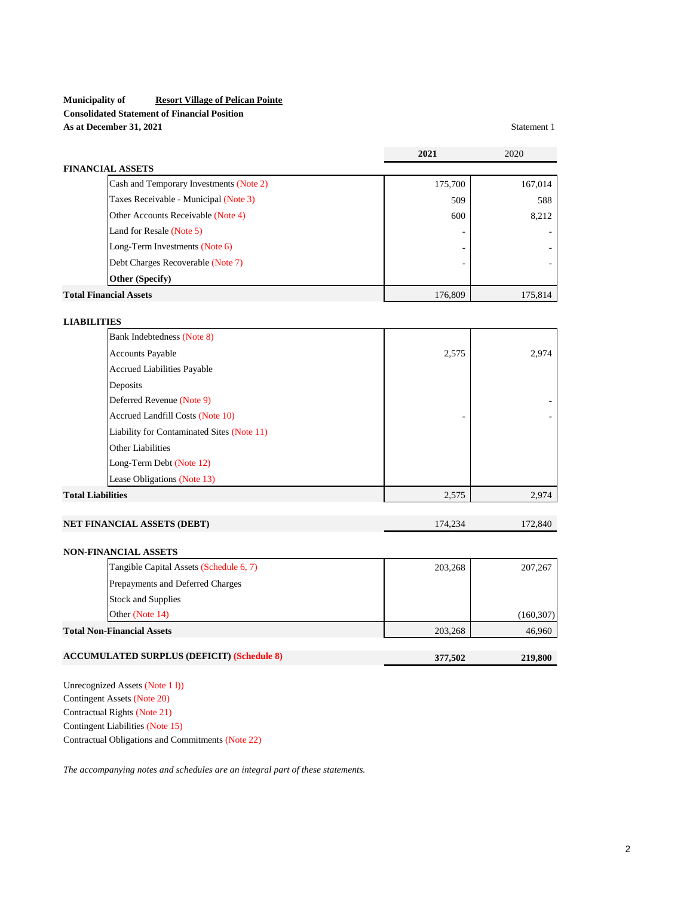# **Municipality of Resort Village of Pelican Pointe Consolidated Statement of Financial Position As at December 31, 2021** Statement 1

|                                                   | 2021    | 2020       |
|---------------------------------------------------|---------|------------|
| <b>FINANCIAL ASSETS</b>                           |         |            |
| Cash and Temporary Investments (Note 2)           | 175,700 | 167,014    |
| Taxes Receivable - Municipal (Note 3)             | 509     | 588        |
| Other Accounts Receivable (Note 4)                | 600     | 8,212      |
| Land for Resale (Note 5)                          |         |            |
| Long-Term Investments (Note 6)                    |         |            |
| Debt Charges Recoverable (Note 7)                 |         |            |
| Other (Specify)                                   |         |            |
| <b>Total Financial Assets</b>                     | 176,809 | 175,814    |
|                                                   |         |            |
| <b>LIABILITIES</b>                                |         |            |
| Bank Indebtedness (Note 8)                        |         |            |
| <b>Accounts Payable</b>                           | 2,575   | 2,974      |
| Accrued Liabilities Payable                       |         |            |
| Deposits                                          |         |            |
| Deferred Revenue (Note 9)                         |         |            |
| Accrued Landfill Costs (Note 10)                  |         |            |
| Liability for Contaminated Sites (Note 11)        |         |            |
| <b>Other Liabilities</b>                          |         |            |
| Long-Term Debt (Note 12)                          |         |            |
| Lease Obligations (Note 13)                       |         |            |
| <b>Total Liabilities</b>                          | 2,575   | 2,974      |
| NET FINANCIAL ASSETS (DEBT)                       | 174,234 | 172,840    |
| NON-FINANCIAL ASSETS                              |         |            |
| Tangible Capital Assets (Schedule 6, 7)           | 203,268 | 207,267    |
| Prepayments and Deferred Charges                  |         |            |
| <b>Stock and Supplies</b>                         |         |            |
| Other (Note 14)                                   |         | (160, 307) |
| <b>Total Non-Financial Assets</b>                 | 203,268 | 46,960     |
| <b>ACCUMULATED SURPLUS (DEFICIT) (Schedule 8)</b> | 377,502 | 219,800    |

Unrecognized Assets (Note 1 l)) Contingent Assets (Note 20) Contractual Rights (Note 21) Contingent Liabilities (Note 15) Contractual Obligations and Commitments (Note 22)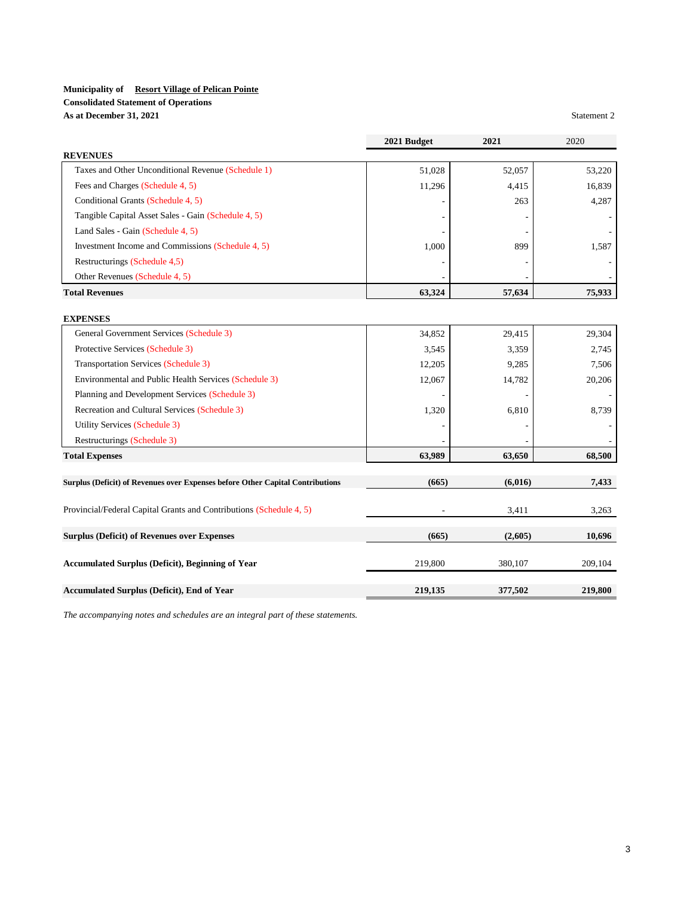# **Consolidated Statement of Operations**

**As at December 31, 2021** Statement 2

|                                                                                | 2021 Budget | 2021    | 2020    |
|--------------------------------------------------------------------------------|-------------|---------|---------|
| <b>REVENUES</b>                                                                |             |         |         |
| Taxes and Other Unconditional Revenue (Schedule 1)                             | 51,028      | 52,057  | 53,220  |
| Fees and Charges (Schedule 4, 5)                                               | 11,296      | 4,415   | 16,839  |
| Conditional Grants (Schedule 4, 5)                                             |             | 263     | 4,287   |
| Tangible Capital Asset Sales - Gain (Schedule 4, 5)                            |             |         |         |
| Land Sales - Gain (Schedule 4, 5)                                              |             |         |         |
| Investment Income and Commissions (Schedule 4, 5)                              | 1,000       | 899     | 1,587   |
| Restructurings (Schedule 4,5)                                                  |             |         |         |
| Other Revenues (Schedule 4, 5)                                                 |             |         |         |
| <b>Total Revenues</b>                                                          | 63,324      | 57,634  | 75,933  |
|                                                                                |             |         |         |
| <b>EXPENSES</b>                                                                |             |         |         |
| General Government Services (Schedule 3)                                       | 34,852      | 29,415  | 29,304  |
| Protective Services (Schedule 3)                                               | 3,545       | 3,359   | 2,745   |
| <b>Transportation Services (Schedule 3)</b>                                    | 12,205      | 9,285   | 7,506   |
| Environmental and Public Health Services (Schedule 3)                          | 12,067      | 14,782  | 20,206  |
| Planning and Development Services (Schedule 3)                                 |             |         |         |
| Recreation and Cultural Services (Schedule 3)                                  | 1,320       | 6,810   | 8.739   |
| Utility Services (Schedule 3)                                                  |             |         |         |
| Restructurings (Schedule 3)                                                    |             |         |         |
| <b>Total Expenses</b>                                                          | 63,989      | 63,650  | 68,500  |
| Surplus (Deficit) of Revenues over Expenses before Other Capital Contributions | (665)       | (6,016) | 7,433   |
|                                                                                |             |         |         |
| Provincial/Federal Capital Grants and Contributions (Schedule 4, 5)            |             | 3,411   | 3,263   |
| <b>Surplus (Deficit) of Revenues over Expenses</b>                             | (665)       | (2,605) | 10,696  |
| Accumulated Surplus (Deficit), Beginning of Year                               | 219,800     | 380,107 | 209,104 |
| Accumulated Surplus (Deficit), End of Year                                     | 219,135     | 377,502 | 219,800 |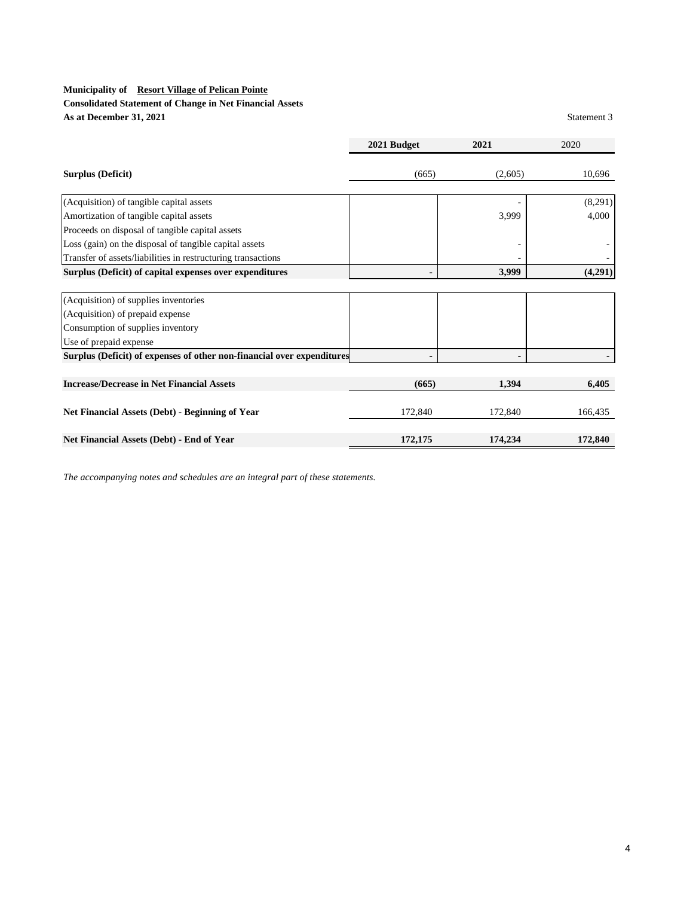# **Consolidated Statement of Change in Net Financial Assets As at December 31, 2021** Statement 3

|                                                                        | 2021 Budget | 2021    | 2020    |
|------------------------------------------------------------------------|-------------|---------|---------|
| <b>Surplus (Deficit)</b>                                               | (665)       | (2,605) | 10,696  |
| (Acquisition) of tangible capital assets                               |             |         | (8,291) |
| Amortization of tangible capital assets                                |             | 3,999   | 4,000   |
| Proceeds on disposal of tangible capital assets                        |             |         |         |
| Loss (gain) on the disposal of tangible capital assets                 |             |         |         |
| Transfer of assets/liabilities in restructuring transactions           |             |         |         |
| Surplus (Deficit) of capital expenses over expenditures                |             | 3,999   | (4,291) |
|                                                                        |             |         |         |
| (Acquisition) of supplies inventories                                  |             |         |         |
| (Acquisition) of prepaid expense                                       |             |         |         |
| Consumption of supplies inventory                                      |             |         |         |
| Use of prepaid expense                                                 |             |         |         |
| Surplus (Deficit) of expenses of other non-financial over expenditures |             |         |         |
|                                                                        |             |         |         |
| <b>Increase/Decrease in Net Financial Assets</b>                       | (665)       | 1,394   | 6,405   |
| <b>Net Financial Assets (Debt) - Beginning of Year</b>                 | 172,840     | 172,840 | 166,435 |
| Net Financial Assets (Debt) - End of Year                              | 172,175     | 174,234 | 172,840 |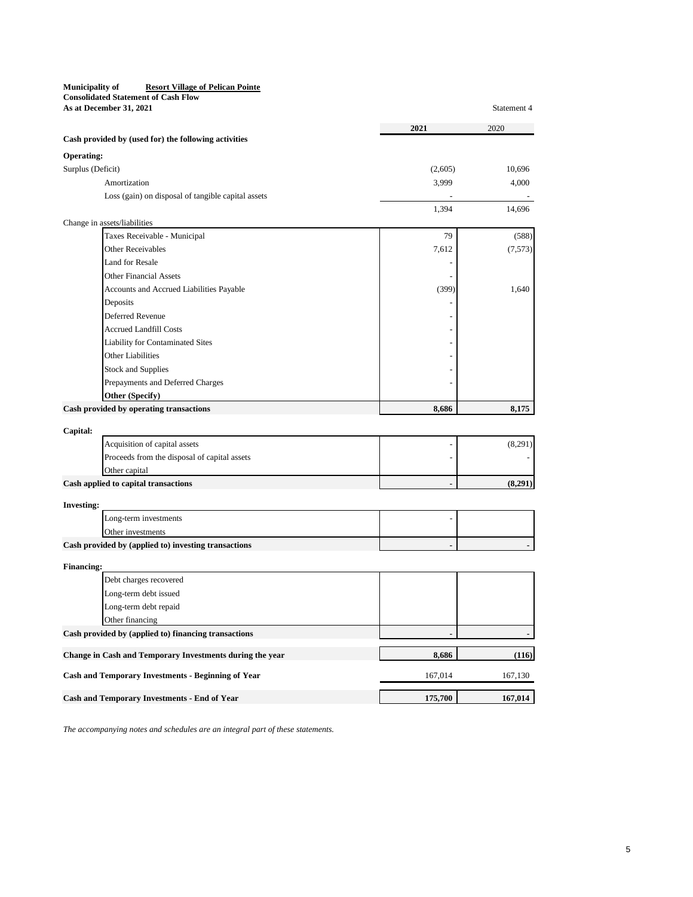| Municipality of                            | <b>Resort Village of Pelican Pointe</b> |             |
|--------------------------------------------|-----------------------------------------|-------------|
| <b>Consolidated Statement of Cash Flow</b> |                                         |             |
| As at December 31, 2021                    |                                         | Statement 4 |

| Cash provided by (used for) the following activities<br><b>Operating:</b><br>Surplus (Deficit)<br>(2,605)<br>10,696<br>3,999<br>Amortization<br>4,000<br>Loss (gain) on disposal of tangible capital assets<br>1,394<br>14,696<br>Change in assets/liabilities<br>79<br>Taxes Receivable - Municipal<br>(588)<br>Other Receivables<br>7,612<br>(7,573)<br><b>Land for Resale</b><br><b>Other Financial Assets</b><br>Accounts and Accrued Liabilities Payable<br>(399)<br>1,640<br>Deposits<br>Deferred Revenue<br><b>Accrued Landfill Costs</b><br><b>Liability for Contaminated Sites</b><br>Other Liabilities<br><b>Stock and Supplies</b><br>Prepayments and Deferred Charges<br>Other (Specify)<br>Cash provided by operating transactions<br>8,686<br>8,175<br>Capital:<br>(8,291)<br>Acquisition of capital assets<br>Proceeds from the disposal of capital assets<br>Other capital<br>(8,291)<br>Cash applied to capital transactions<br><b>Investing:</b><br>Long-term investments<br>Other investments<br>Cash provided by (applied to) investing transactions<br><b>Financing:</b><br>Debt charges recovered<br>Long-term debt issued<br>Long-term debt repaid<br>Other financing<br>Cash provided by (applied to) financing transactions<br>Change in Cash and Temporary Investments during the year<br>8,686<br>(116)<br><b>Cash and Temporary Investments - Beginning of Year</b><br>167,014<br>167,130<br>175,700<br>167,014<br>Cash and Temporary Investments - End of Year | 2021 | 2020 |
|---------------------------------------------------------------------------------------------------------------------------------------------------------------------------------------------------------------------------------------------------------------------------------------------------------------------------------------------------------------------------------------------------------------------------------------------------------------------------------------------------------------------------------------------------------------------------------------------------------------------------------------------------------------------------------------------------------------------------------------------------------------------------------------------------------------------------------------------------------------------------------------------------------------------------------------------------------------------------------------------------------------------------------------------------------------------------------------------------------------------------------------------------------------------------------------------------------------------------------------------------------------------------------------------------------------------------------------------------------------------------------------------------------------------------------------------------------------------------------------------|------|------|
|                                                                                                                                                                                                                                                                                                                                                                                                                                                                                                                                                                                                                                                                                                                                                                                                                                                                                                                                                                                                                                                                                                                                                                                                                                                                                                                                                                                                                                                                                             |      |      |
|                                                                                                                                                                                                                                                                                                                                                                                                                                                                                                                                                                                                                                                                                                                                                                                                                                                                                                                                                                                                                                                                                                                                                                                                                                                                                                                                                                                                                                                                                             |      |      |
|                                                                                                                                                                                                                                                                                                                                                                                                                                                                                                                                                                                                                                                                                                                                                                                                                                                                                                                                                                                                                                                                                                                                                                                                                                                                                                                                                                                                                                                                                             |      |      |
|                                                                                                                                                                                                                                                                                                                                                                                                                                                                                                                                                                                                                                                                                                                                                                                                                                                                                                                                                                                                                                                                                                                                                                                                                                                                                                                                                                                                                                                                                             |      |      |
|                                                                                                                                                                                                                                                                                                                                                                                                                                                                                                                                                                                                                                                                                                                                                                                                                                                                                                                                                                                                                                                                                                                                                                                                                                                                                                                                                                                                                                                                                             |      |      |
|                                                                                                                                                                                                                                                                                                                                                                                                                                                                                                                                                                                                                                                                                                                                                                                                                                                                                                                                                                                                                                                                                                                                                                                                                                                                                                                                                                                                                                                                                             |      |      |
|                                                                                                                                                                                                                                                                                                                                                                                                                                                                                                                                                                                                                                                                                                                                                                                                                                                                                                                                                                                                                                                                                                                                                                                                                                                                                                                                                                                                                                                                                             |      |      |
|                                                                                                                                                                                                                                                                                                                                                                                                                                                                                                                                                                                                                                                                                                                                                                                                                                                                                                                                                                                                                                                                                                                                                                                                                                                                                                                                                                                                                                                                                             |      |      |
|                                                                                                                                                                                                                                                                                                                                                                                                                                                                                                                                                                                                                                                                                                                                                                                                                                                                                                                                                                                                                                                                                                                                                                                                                                                                                                                                                                                                                                                                                             |      |      |
|                                                                                                                                                                                                                                                                                                                                                                                                                                                                                                                                                                                                                                                                                                                                                                                                                                                                                                                                                                                                                                                                                                                                                                                                                                                                                                                                                                                                                                                                                             |      |      |
|                                                                                                                                                                                                                                                                                                                                                                                                                                                                                                                                                                                                                                                                                                                                                                                                                                                                                                                                                                                                                                                                                                                                                                                                                                                                                                                                                                                                                                                                                             |      |      |
|                                                                                                                                                                                                                                                                                                                                                                                                                                                                                                                                                                                                                                                                                                                                                                                                                                                                                                                                                                                                                                                                                                                                                                                                                                                                                                                                                                                                                                                                                             |      |      |
|                                                                                                                                                                                                                                                                                                                                                                                                                                                                                                                                                                                                                                                                                                                                                                                                                                                                                                                                                                                                                                                                                                                                                                                                                                                                                                                                                                                                                                                                                             |      |      |
|                                                                                                                                                                                                                                                                                                                                                                                                                                                                                                                                                                                                                                                                                                                                                                                                                                                                                                                                                                                                                                                                                                                                                                                                                                                                                                                                                                                                                                                                                             |      |      |
|                                                                                                                                                                                                                                                                                                                                                                                                                                                                                                                                                                                                                                                                                                                                                                                                                                                                                                                                                                                                                                                                                                                                                                                                                                                                                                                                                                                                                                                                                             |      |      |
|                                                                                                                                                                                                                                                                                                                                                                                                                                                                                                                                                                                                                                                                                                                                                                                                                                                                                                                                                                                                                                                                                                                                                                                                                                                                                                                                                                                                                                                                                             |      |      |
|                                                                                                                                                                                                                                                                                                                                                                                                                                                                                                                                                                                                                                                                                                                                                                                                                                                                                                                                                                                                                                                                                                                                                                                                                                                                                                                                                                                                                                                                                             |      |      |
|                                                                                                                                                                                                                                                                                                                                                                                                                                                                                                                                                                                                                                                                                                                                                                                                                                                                                                                                                                                                                                                                                                                                                                                                                                                                                                                                                                                                                                                                                             |      |      |
|                                                                                                                                                                                                                                                                                                                                                                                                                                                                                                                                                                                                                                                                                                                                                                                                                                                                                                                                                                                                                                                                                                                                                                                                                                                                                                                                                                                                                                                                                             |      |      |
|                                                                                                                                                                                                                                                                                                                                                                                                                                                                                                                                                                                                                                                                                                                                                                                                                                                                                                                                                                                                                                                                                                                                                                                                                                                                                                                                                                                                                                                                                             |      |      |
|                                                                                                                                                                                                                                                                                                                                                                                                                                                                                                                                                                                                                                                                                                                                                                                                                                                                                                                                                                                                                                                                                                                                                                                                                                                                                                                                                                                                                                                                                             |      |      |
|                                                                                                                                                                                                                                                                                                                                                                                                                                                                                                                                                                                                                                                                                                                                                                                                                                                                                                                                                                                                                                                                                                                                                                                                                                                                                                                                                                                                                                                                                             |      |      |
|                                                                                                                                                                                                                                                                                                                                                                                                                                                                                                                                                                                                                                                                                                                                                                                                                                                                                                                                                                                                                                                                                                                                                                                                                                                                                                                                                                                                                                                                                             |      |      |
|                                                                                                                                                                                                                                                                                                                                                                                                                                                                                                                                                                                                                                                                                                                                                                                                                                                                                                                                                                                                                                                                                                                                                                                                                                                                                                                                                                                                                                                                                             |      |      |
|                                                                                                                                                                                                                                                                                                                                                                                                                                                                                                                                                                                                                                                                                                                                                                                                                                                                                                                                                                                                                                                                                                                                                                                                                                                                                                                                                                                                                                                                                             |      |      |
|                                                                                                                                                                                                                                                                                                                                                                                                                                                                                                                                                                                                                                                                                                                                                                                                                                                                                                                                                                                                                                                                                                                                                                                                                                                                                                                                                                                                                                                                                             |      |      |
|                                                                                                                                                                                                                                                                                                                                                                                                                                                                                                                                                                                                                                                                                                                                                                                                                                                                                                                                                                                                                                                                                                                                                                                                                                                                                                                                                                                                                                                                                             |      |      |
|                                                                                                                                                                                                                                                                                                                                                                                                                                                                                                                                                                                                                                                                                                                                                                                                                                                                                                                                                                                                                                                                                                                                                                                                                                                                                                                                                                                                                                                                                             |      |      |
|                                                                                                                                                                                                                                                                                                                                                                                                                                                                                                                                                                                                                                                                                                                                                                                                                                                                                                                                                                                                                                                                                                                                                                                                                                                                                                                                                                                                                                                                                             |      |      |
|                                                                                                                                                                                                                                                                                                                                                                                                                                                                                                                                                                                                                                                                                                                                                                                                                                                                                                                                                                                                                                                                                                                                                                                                                                                                                                                                                                                                                                                                                             |      |      |
|                                                                                                                                                                                                                                                                                                                                                                                                                                                                                                                                                                                                                                                                                                                                                                                                                                                                                                                                                                                                                                                                                                                                                                                                                                                                                                                                                                                                                                                                                             |      |      |
|                                                                                                                                                                                                                                                                                                                                                                                                                                                                                                                                                                                                                                                                                                                                                                                                                                                                                                                                                                                                                                                                                                                                                                                                                                                                                                                                                                                                                                                                                             |      |      |
|                                                                                                                                                                                                                                                                                                                                                                                                                                                                                                                                                                                                                                                                                                                                                                                                                                                                                                                                                                                                                                                                                                                                                                                                                                                                                                                                                                                                                                                                                             |      |      |
|                                                                                                                                                                                                                                                                                                                                                                                                                                                                                                                                                                                                                                                                                                                                                                                                                                                                                                                                                                                                                                                                                                                                                                                                                                                                                                                                                                                                                                                                                             |      |      |
|                                                                                                                                                                                                                                                                                                                                                                                                                                                                                                                                                                                                                                                                                                                                                                                                                                                                                                                                                                                                                                                                                                                                                                                                                                                                                                                                                                                                                                                                                             |      |      |
|                                                                                                                                                                                                                                                                                                                                                                                                                                                                                                                                                                                                                                                                                                                                                                                                                                                                                                                                                                                                                                                                                                                                                                                                                                                                                                                                                                                                                                                                                             |      |      |
|                                                                                                                                                                                                                                                                                                                                                                                                                                                                                                                                                                                                                                                                                                                                                                                                                                                                                                                                                                                                                                                                                                                                                                                                                                                                                                                                                                                                                                                                                             |      |      |
|                                                                                                                                                                                                                                                                                                                                                                                                                                                                                                                                                                                                                                                                                                                                                                                                                                                                                                                                                                                                                                                                                                                                                                                                                                                                                                                                                                                                                                                                                             |      |      |
|                                                                                                                                                                                                                                                                                                                                                                                                                                                                                                                                                                                                                                                                                                                                                                                                                                                                                                                                                                                                                                                                                                                                                                                                                                                                                                                                                                                                                                                                                             |      |      |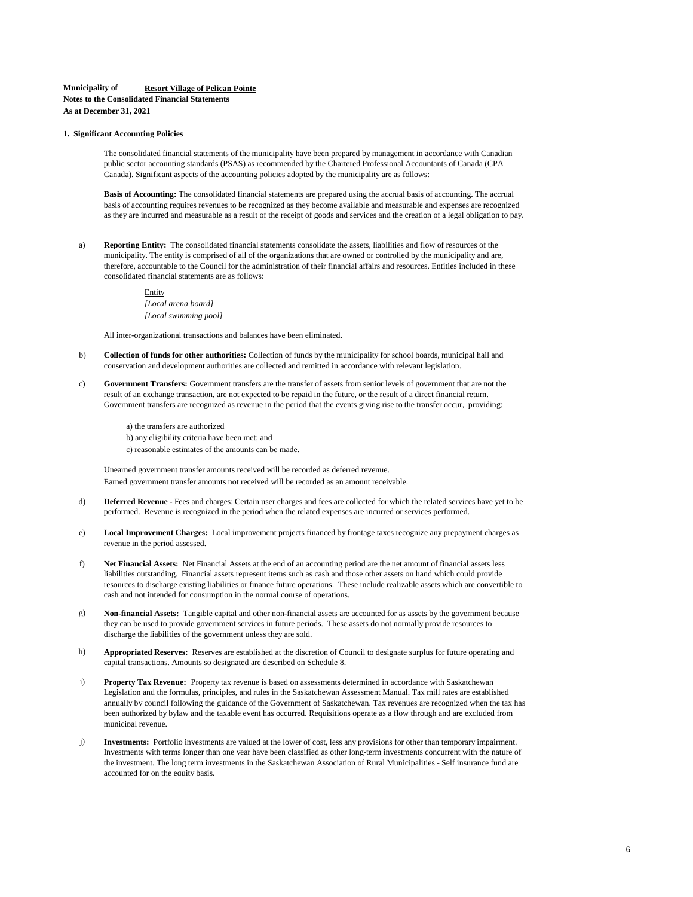#### **Municipality of Resort Village of Pelican Pointe Notes to the Consolidated Financial Statements**

**As at December 31, 2021**

#### **1. Significant Accounting Policies**

The consolidated financial statements of the municipality have been prepared by management in accordance with Canadian public sector accounting standards (PSAS) as recommended by the Chartered Professional Accountants of Canada (CPA Canada). Significant aspects of the accounting policies adopted by the municipality are as follows:

**Basis of Accounting:** The consolidated financial statements are prepared using the accrual basis of accounting. The accrual basis of accounting requires revenues to be recognized as they become available and measurable and expenses are recognized as they are incurred and measurable as a result of the receipt of goods and services and the creation of a legal obligation to pay.

**Reporting Entity:** The consolidated financial statements consolidate the assets, liabilities and flow of resources of the municipality. The entity is comprised of all of the organizations that are owned or controlled by the municipality and are, therefore, accountable to the Council for the administration of their financial affairs and resources. Entities included in these consolidated financial statements are as follows: a)

> Entity *[Local arena board] [Local swimming pool]*

All inter-organizational transactions and balances have been eliminated.

- b) **Collection of funds for other authorities:** Collection of funds by the municipality for school boards, municipal hail and conservation and development authorities are collected and remitted in accordance with relevant legislation.
- **Government Transfers:** Government transfers are the transfer of assets from senior levels of government that are not the result of an exchange transaction, are not expected to be repaid in the future, or the result of a direct financial return. Government transfers are recognized as revenue in the period that the events giving rise to the transfer occur, providing: c)
	- a) the transfers are authorized b) any eligibility criteria have been met; and c) reasonable estimates of the amounts can be made.

Unearned government transfer amounts received will be recorded as deferred revenue. Earned government transfer amounts not received will be recorded as an amount receivable.

- d) **Deferred Revenue -** Fees and charges: Certain user charges and fees are collected for which the related services have yet to be performed. Revenue is recognized in the period when the related expenses are incurred or services performed.
- **Local Improvement Charges:** Local improvement projects financed by frontage taxes recognize any prepayment charges as revenue in the period assessed. e)
- **Net Financial Assets:** Net Financial Assets at the end of an accounting period are the net amount of financial assets less liabilities outstanding. Financial assets represent items such as cash and those other assets on hand which could provide resources to discharge existing liabilities or finance future operations. These include realizable assets which are convertible to cash and not intended for consumption in the normal course of operations. f)
- g) **Non-financial Assets:** Tangible capital and other non-financial assets are accounted for as assets by the government because they can be used to provide government services in future periods. These assets do not normally provide resources to discharge the liabilities of the government unless they are sold.
- **Appropriated Reserves:** Reserves are established at the discretion of Council to designate surplus for future operating and capital transactions. Amounts so designated are described on Schedule 8. h)
- i) **Property Tax Revenue:** Property tax revenue is based on assessments determined in accordance with Saskatchewan Legislation and the formulas, principles, and rules in the Saskatchewan Assessment Manual. Tax mill rates are established annually by council following the guidance of the Government of Saskatchewan. Tax revenues are recognized when the tax has been authorized by bylaw and the taxable event has occurred. Requisitions operate as a flow through and are excluded from municipal revenue.
- j) **Investments:** Portfolio investments are valued at the lower of cost, less any provisions for other than temporary impairment. Investments with terms longer than one year have been classified as other long-term investments concurrent with the nature of the investment. The long term investments in the Saskatchewan Association of Rural Municipalities - Self insurance fund are accounted for on the equity basis.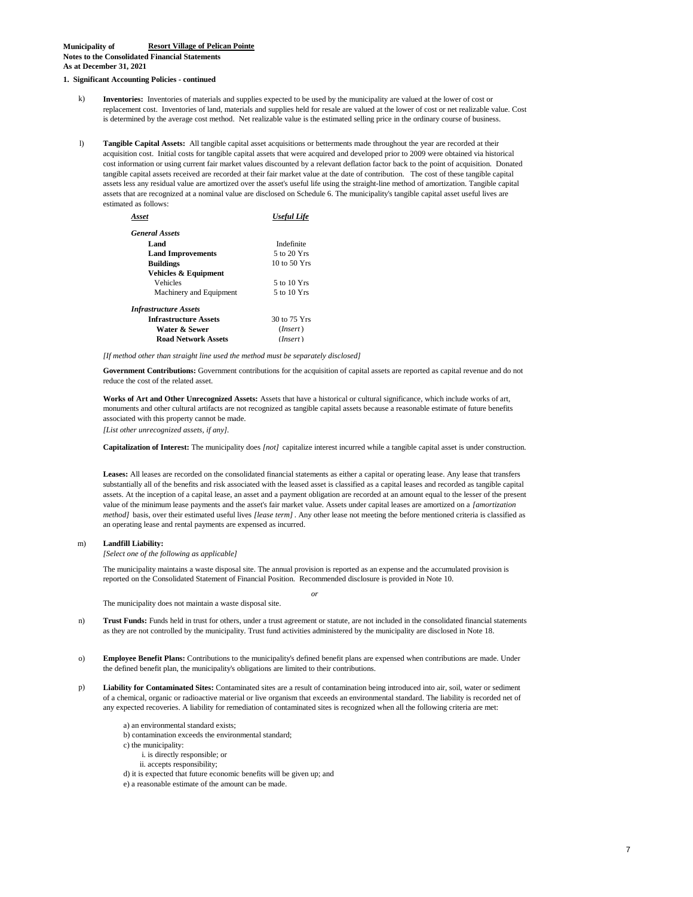#### **1. Significant Accounting Policies - continued**

- k) **Inventories:** Inventories of materials and supplies expected to be used by the municipality are valued at the lower of cost or replacement cost. Inventories of land, materials and supplies held for resale are valued at the lower of cost or net realizable value. Cost is determined by the average cost method. Net realizable value is the estimated selling price in the ordinary course of business.
- l) **Tangible Capital Assets:** All tangible capital asset acquisitions or betterments made throughout the year are recorded at their acquisition cost. Initial costs for tangible capital assets that were acquired and developed prior to 2009 were obtained via historical cost information or using current fair market values discounted by a relevant deflation factor back to the point of acquisition. Donated tangible capital assets received are recorded at their fair market value at the date of contribution. The cost of these tangible capital assets less any residual value are amortized over the asset's useful life using the straight-line method of amortization. Tangible capital assets that are recognized at a nominal value are disclosed on Schedule 6. The municipality's tangible capital asset useful lives are estimated as follows:

| Asset                        | <b>Useful Life</b> |
|------------------------------|--------------------|
| <b>General Assets</b>        |                    |
| Land                         | Indefinite         |
| <b>Land Improvements</b>     | 5 to 20 Yrs        |
| <b>Buildings</b>             | $10$ to $50$ Yrs   |
| Vehicles & Equipment         |                    |
| Vehicles                     | 5 to 10 Yrs        |
| Machinery and Equipment      | 5 to 10 Yrs        |
| <b>Infrastructure Assets</b> |                    |
| <b>Infrastructure Assets</b> | 30 to 75 Yrs       |
| Water & Sewer                | (Insert)           |
| <b>Road Network Assets</b>   | (Insert)           |

*[If method other than straight line used the method must be separately disclosed]*

**Government Contributions:** Government contributions for the acquisition of capital assets are reported as capital revenue and do not reduce the cost of the related asset.

**Works of Art and Other Unrecognized Assets:** Assets that have a historical or cultural significance, which include works of art, monuments and other cultural artifacts are not recognized as tangible capital assets because a reasonable estimate of future benefits associated with this property cannot be made.

*[List other unrecognized assets, if any].*

**Capitalization of Interest:** The municipality does *[not]* capitalize interest incurred while a tangible capital asset is under construction.

**Leases:** All leases are recorded on the consolidated financial statements as either a capital or operating lease. Any lease that transfers substantially all of the benefits and risk associated with the leased asset is classified as a capital leases and recorded as tangible capital assets. At the inception of a capital lease, an asset and a payment obligation are recorded at an amount equal to the lesser of the present value of the minimum lease payments and the asset's fair market value. Assets under capital leases are amortized on a *[amortization method]* basis, over their estimated useful lives *[lease term]*. Any other lease not meeting the before mentioned criteria is classified as an operating lease and rental payments are expensed as incurred.

#### m) **Landfill Liability:**

*[Select one of the following as applicable]* 

The municipality maintains a waste disposal site. The annual provision is reported as an expense and the accumulated provision is reported on the Consolidated Statement of Financial Position. Recommended disclosure is provided in Note 10.

*or*

The municipality does not maintain a waste disposal site.

- **Trust Funds:** Funds held in trust for others, under a trust agreement or statute, are not included in the consolidated financial statements as they are not controlled by the municipality. Trust fund activities administered by the municipality are disclosed in Note 18. n)
- o) **Employee Benefit Plans:** Contributions to the municipality's defined benefit plans are expensed when contributions are made. Under the defined benefit plan, the municipality's obligations are limited to their contributions.
- **Liability for Contaminated Sites:** Contaminated sites are a result of contamination being introduced into air, soil, water or sediment of a chemical, organic or radioactive material or live organism that exceeds an environmental standard. The liability is recorded net of any expected recoveries. A liability for remediation of contaminated sites is recognized when all the following criteria are met: p)
	- a) an environmental standard exists;
	- b) contamination exceeds the environmental standard;
	- c) the municipality:
		- i. is directly responsible; or
		- ii. accepts responsibility;
	- d) it is expected that future economic benefits will be given up; and
	- e) a reasonable estimate of the amount can be made.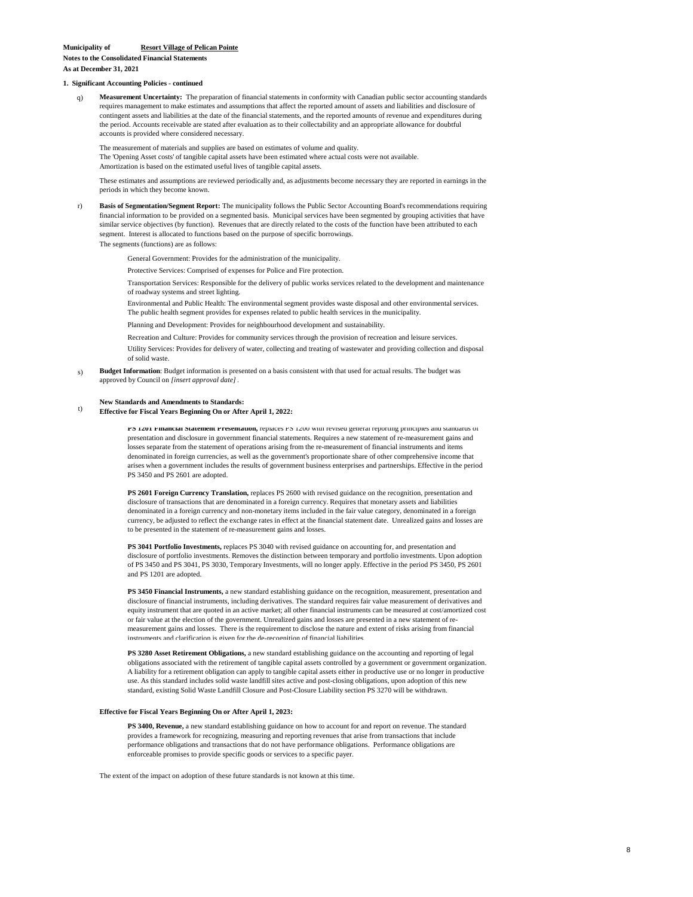**Notes to the Consolidated Financial Statements As at December 31, 2021**

#### **1. Significant Accounting Policies - continued**

q) **Measurement Uncertainty:** The preparation of financial statements in conformity with Canadian public sector accounting standards requires management to make estimates and assumptions that affect the reported amount of assets and liabilities and disclosure of contingent assets and liabilities at the date of the financial statements, and the reported amounts of revenue and expenditures during the period. Accounts receivable are stated after evaluation as to their collectability and an appropriate allowance for doubtful accounts is provided where considered necessary.

The 'Opening Asset costs' of tangible capital assets have been estimated where actual costs were not available. The measurement of materials and supplies are based on estimates of volume and quality. Amortization is based on the estimated useful lives of tangible capital assets.

These estimates and assumptions are reviewed periodically and, as adjustments become necessary they are reported in earnings in the periods in which they become known.

r) **Basis of Segmentation/Segment Report:** The municipality follows the Public Sector Accounting Board's recommendations requiring financial information to be provided on a segmented basis. Municipal services have been segmented by grouping activities that have similar service objectives (by function). Revenues that are directly related to the costs of the function have been attributed to each segment. Interest is allocated to functions based on the purpose of specific borrowings.

The segments (functions) are as follows:

General Government: Provides for the administration of the municipality.

Protective Services: Comprised of expenses for Police and Fire protection.

Transportation Services: Responsible for the delivery of public works services related to the development and maintenance of roadway systems and street lighting.

Environmental and Public Health: The environmental segment provides waste disposal and other environmental services. The public health segment provides for expenses related to public health services in the municipality.

Planning and Development: Provides for neighbourhood development and sustainability.

Recreation and Culture: Provides for community services through the provision of recreation and leisure services.

Utility Services: Provides for delivery of water, collecting and treating of wastewater and providing collection and disposal of solid waste.

s) **Budget Information**: Budget information is presented on a basis consistent with that used for actual results. The budget was approved by Council on *[insert approval date]*.

#### **New Standards and Amendments to Standards:**

t) **Effective for Fiscal Years Beginning On or After April 1, 2022:**

> **PS 1201 Financial Statement Presentation,** replaces PS 1200 with revised general reporting principles and standards of presentation and disclosure in government financial statements. Requires a new statement of re-measurement gains and losses separate from the statement of operations arising from the re-measurement of financial instruments and items denominated in foreign currencies, as well as the government's proportionate share of other comprehensive income that arises when a government includes the results of government business enterprises and partnerships. Effective in the period PS 3450 and PS 2601 are adopted.

> **PS 2601 Foreign Currency Translation,** replaces PS 2600 with revised guidance on the recognition, presentation and disclosure of transactions that are denominated in a foreign currency. Requires that monetary assets and liabilities denominated in a foreign currency and non-monetary items included in the fair value category, denominated in a foreign currency, be adjusted to reflect the exchange rates in effect at the financial statement date. Unrealized gains and losses are to be presented in the statement of re-measurement gains and losses.

> **PS 3041 Portfolio Investments,** replaces PS 3040 with revised guidance on accounting for, and presentation and disclosure of portfolio investments. Removes the distinction between temporary and portfolio investments. Upon adoption of PS 3450 and PS 3041, PS 3030, Temporary Investments, will no longer apply. Effective in the period PS 3450, PS 2601 and PS 1201 are adopted.

> **PS 3450 Financial Instruments,** a new standard establishing guidance on the recognition, measurement, presentation and disclosure of financial instruments, including derivatives. The standard requires fair value measurement of derivatives and equity instrument that are quoted in an active market; all other financial instruments can be measured at cost/amortized cost or fair value at the election of the government. Unrealized gains and losses are presented in a new statement of remeasurement gains and losses. There is the requirement to disclose the nature and extent of risks arising from financial instruments and clarification is given for the de-recognition of financial liabilities.

> **PS 3280 Asset Retirement Obligations,** a new standard establishing guidance on the accounting and reporting of legal obligations associated with the retirement of tangible capital assets controlled by a government or government organization. A liability for a retirement obligation can apply to tangible capital assets either in productive use or no longer in productive use. As this standard includes solid waste landfill sites active and post-closing obligations, upon adoption of this new standard, existing Solid Waste Landfill Closure and Post-Closure Liability section PS 3270 will be withdrawn.

#### **Effective for Fiscal Years Beginning On or After April 1, 2023:**

**PS 3400, Revenue,** a new standard establishing guidance on how to account for and report on revenue. The standard provides a framework for recognizing, measuring and reporting revenues that arise from transactions that include performance obligations and transactions that do not have performance obligations. Performance obligations are enforceable promises to provide specific goods or services to a specific payer.

The extent of the impact on adoption of these future standards is not known at this time.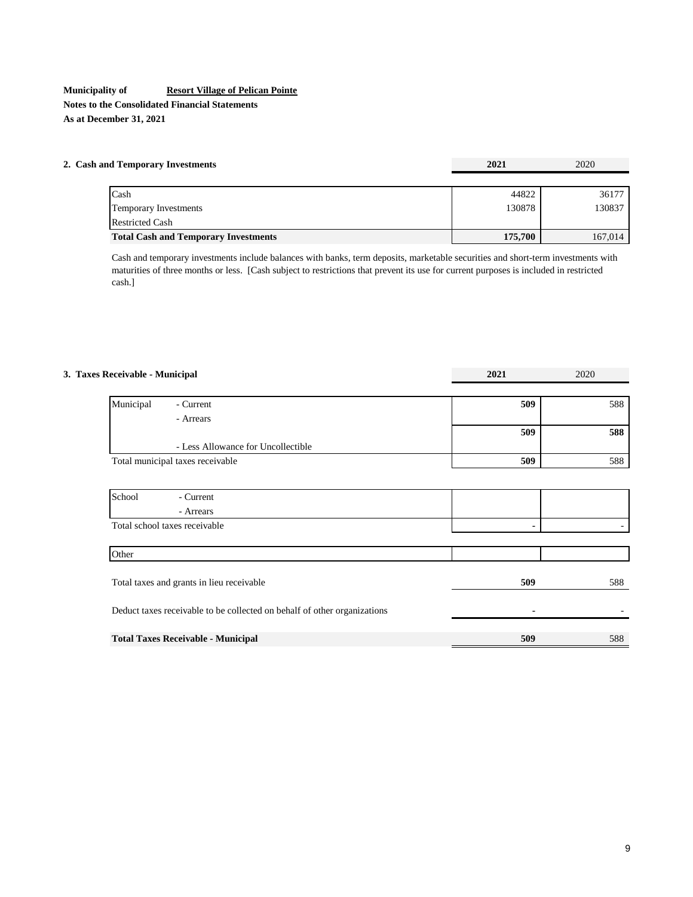# **Municipality of Resort Village of Pelican Pointe Notes to the Consolidated Financial Statements As at December 31, 2021**

Restricted Cash

| 2. Cash and Temporary Investments | 2021   | 2020  |
|-----------------------------------|--------|-------|
|                                   |        |       |
| Cash                              | 44822  | 36177 |
| Temporary Investments             | 130878 | 30837 |

Cash and temporary investments include balances with banks, term deposits, marketable securities and short-term investments with maturities of three months or less. [Cash subject to restrictions that prevent its use for current purposes is included in restricted cash.]

**Total Cash and Temporary Investments** 175,700 167,014

| 3. Taxes Receivable - Municipal                                          | 2021 | 2020 |
|--------------------------------------------------------------------------|------|------|
|                                                                          |      |      |
| Municipal<br>- Current                                                   | 509  | 588  |
| - Arrears                                                                |      |      |
|                                                                          | 509  | 588  |
| - Less Allowance for Uncollectible                                       |      |      |
| Total municipal taxes receivable                                         | 509  | 588  |
|                                                                          |      |      |
| School<br>- Current                                                      |      |      |
| - Arrears                                                                |      |      |
| Total school taxes receivable                                            |      |      |
|                                                                          |      |      |
| Other                                                                    |      |      |
|                                                                          |      |      |
| Total taxes and grants in lieu receivable                                | 509  | 588  |
|                                                                          |      |      |
| Deduct taxes receivable to be collected on behalf of other organizations |      |      |
| <b>Total Taxes Receivable - Municipal</b>                                | 509  | 588  |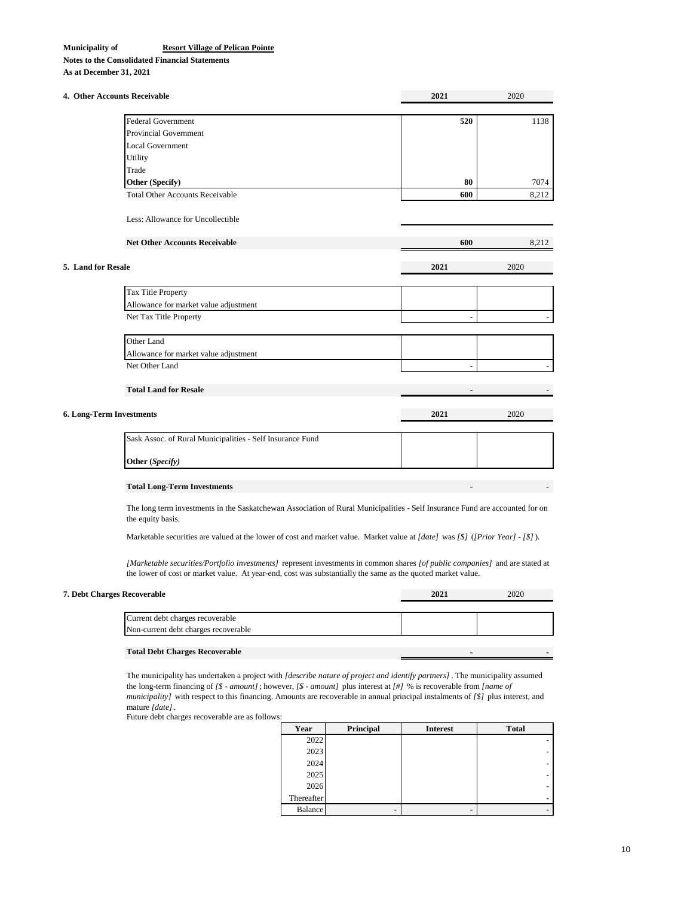**Notes to the Consolidated Financial Statements**

**As at December 31, 2021**

|                    | 4. Other Accounts Receivable                                                                                                                      | 2021 | 2020           |
|--------------------|---------------------------------------------------------------------------------------------------------------------------------------------------|------|----------------|
|                    | <b>Federal Government</b>                                                                                                                         | 520  | 1138           |
|                    | <b>Provincial Government</b>                                                                                                                      |      |                |
|                    | <b>Local Government</b>                                                                                                                           |      |                |
|                    | Utility                                                                                                                                           |      |                |
|                    | Trade                                                                                                                                             |      |                |
|                    | Other (Specify)                                                                                                                                   | 80   | 7074           |
|                    | <b>Total Other Accounts Receivable</b>                                                                                                            | 600  | 8,212          |
|                    |                                                                                                                                                   |      |                |
|                    | Less: Allowance for Uncollectible                                                                                                                 |      |                |
|                    | <b>Net Other Accounts Receivable</b>                                                                                                              | 600  | 8,212          |
| 5. Land for Resale |                                                                                                                                                   | 2021 | 2020           |
|                    | Tax Title Property                                                                                                                                |      |                |
|                    | Allowance for market value adjustment                                                                                                             |      |                |
|                    | Net Tax Title Property                                                                                                                            |      | $\blacksquare$ |
|                    | Other Land                                                                                                                                        |      |                |
|                    | Allowance for market value adjustment                                                                                                             |      |                |
|                    | Net Other Land                                                                                                                                    |      | $\blacksquare$ |
|                    | <b>Total Land for Resale</b>                                                                                                                      |      |                |
|                    | 6. Long-Term Investments                                                                                                                          | 2021 | 2020           |
|                    |                                                                                                                                                   |      |                |
|                    | Sask Assoc. of Rural Municipalities - Self Insurance Fund                                                                                         |      |                |
|                    | Other (Specify)                                                                                                                                   |      |                |
|                    | <b>Total Long-Term Investments</b>                                                                                                                |      |                |
|                    | The long term investments in the Saskatchewan Association of Rural Municipalities - Self Insurance Fund are accounted for on<br>the equity basis. |      |                |

Marketable securities are valued at the lower of cost and market value. Market value at *[date]* was *[\$]* (*[Prior Year] - [\$]*).

*[Marketable securities/Portfolio investments]* represent investments in common shares *[of public companies]* and are stated at the lower of cost or market value. At year-end, cost was substantially the same as the quoted market value.

| 7. Debt Charges Recoverable           | 2021 | 2020 |
|---------------------------------------|------|------|
|                                       |      |      |
| Current debt charges recoverable      |      |      |
| Non-current debt charges recoverable  |      |      |
|                                       |      |      |
| <b>Total Debt Charges Recoverable</b> |      |      |

The municipality has undertaken a project with *[describe nature of project and identify partners]* . The municipality assumed the long-term financing of *[\$ - amount]*; however, *[\$ - amount]* plus interest at *[#]* % is recoverable from *[name of municipality]* with respect to this financing. Amounts are recoverable in annual principal instalments of *[\$]* plus interest, and mature *[date]*.

Future debt charges recoverable are as follows:

| Year           | Principal | <b>Interest</b> | <b>Total</b> |
|----------------|-----------|-----------------|--------------|
| 2022           |           |                 |              |
| 2023           |           |                 |              |
| 2024           |           |                 |              |
| 2025           |           |                 |              |
| 2026           |           |                 |              |
| Thereafter     |           |                 |              |
| <b>Balance</b> |           |                 |              |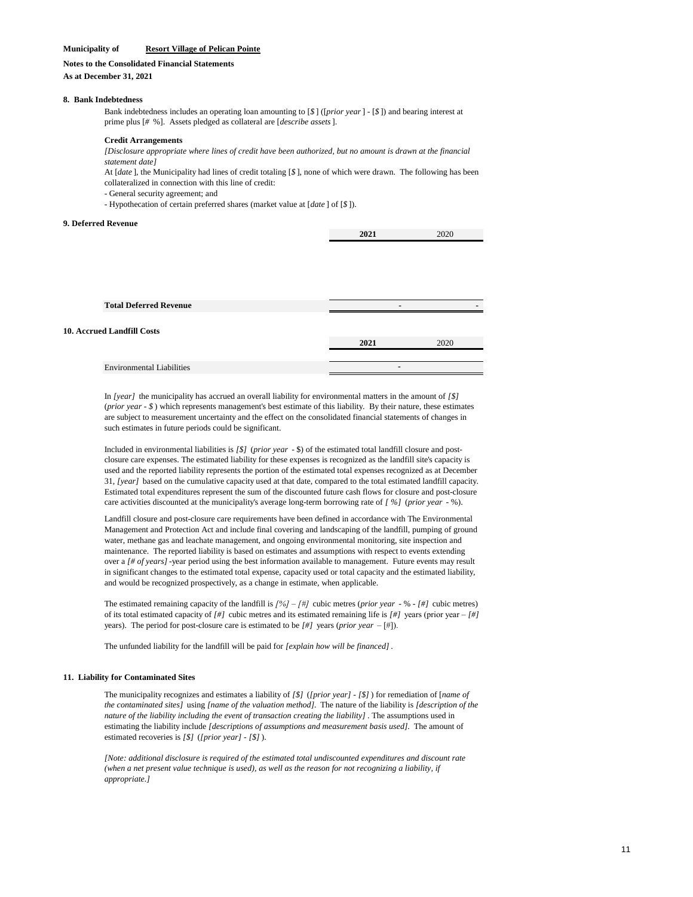#### **Notes to the Consolidated Financial Statements**

#### **As at December 31, 2021**

#### **8. Bank Indebtedness**

Bank indebtedness includes an operating loan amounting to [*\$* ] ([*prior year*] - [*\$* ]) and bearing interest at prime plus [*#* %]. Assets pledged as collateral are [*describe assets*].

#### **Credit Arrangements**

#### *[Disclosure appropriate where lines of credit have been authorized, but no amount is drawn at the financial statement date]*

At [*date* ], the Municipality had lines of credit totaling [*\$* ], none of which were drawn. The following has been collateralized in connection with this line of credit:

- General security agreement; and

- Hypothecation of certain preferred shares (market value at [*date* ] of [*\$* ]).

#### **9. Deferred Revenue**

| <b>Total Deferred Revenue</b>     |      |      |  |
|-----------------------------------|------|------|--|
| <b>10. Accrued Landfill Costs</b> |      |      |  |
|                                   | 2021 | 2020 |  |
|                                   |      |      |  |
| <b>Environmental Liabilities</b>  |      |      |  |
|                                   |      |      |  |

In *[year]* the municipality has accrued an overall liability for environmental matters in the amount of *[\$]*  (*prior year - \$* ) which represents management's best estimate of this liability. By their nature, these estimates are subject to measurement uncertainty and the effect on the consolidated financial statements of changes in such estimates in future periods could be significant.

Included in environmental liabilities is *[\$]* (*prior year* - \$) of the estimated total landfill closure and postclosure care expenses. The estimated liability for these expenses is recognized as the landfill site's capacity is used and the reported liability represents the portion of the estimated total expenses recognized as at December 31, *[year]* based on the cumulative capacity used at that date, compared to the total estimated landfill capacity. Estimated total expenditures represent the sum of the discounted future cash flows for closure and post-closure care activities discounted at the municipality's average long-term borrowing rate of *[ %]* (*prior year* - %).

Landfill closure and post-closure care requirements have been defined in accordance with The Environmental Management and Protection Act and include final covering and landscaping of the landfill, pumping of ground water, methane gas and leachate management, and ongoing environmental monitoring, site inspection and maintenance. The reported liability is based on estimates and assumptions with respect to events extending over a [# of years] -year period using the best information available to management. Future events may result in significant changes to the estimated total expense, capacity used or total capacity and the estimated liability, and would be recognized prospectively, as a change in estimate, when applicable.

The estimated remaining capacity of the landfill is *[%] – [#]* cubic metres (*prior year* - % - *[#]* cubic metres) of its total estimated capacity of *[#]* cubic metres and its estimated remaining life is *[#]* years (prior year – *[#]*  years). The period for post-closure care is estimated to be *[#]* years (*prior year* – [#]).

The unfunded liability for the landfill will be paid for *[explain how will be financed]* .

#### **11. Liability for Contaminated Sites**

The municipality recognizes and estimates a liability of *[\$]* (*[prior year] - [\$]* ) for remediation of [*name of the contaminated sites]* using *[name of the valuation method].* The nature of the liability is *[description of the nature of the liability including the event of transaction creating the liability]* . The assumptions used in estimating the liability include *[descriptions of assumptions and measurement basis used].* The amount of estimated recoveries is *[\$]* (*[prior year] - [\$]* ).

*[Note: additional disclosure is required of the estimated total undiscounted expenditures and discount rate (when a net present value technique is used), as well as the reason for not recognizing a liability, if appropriate.]*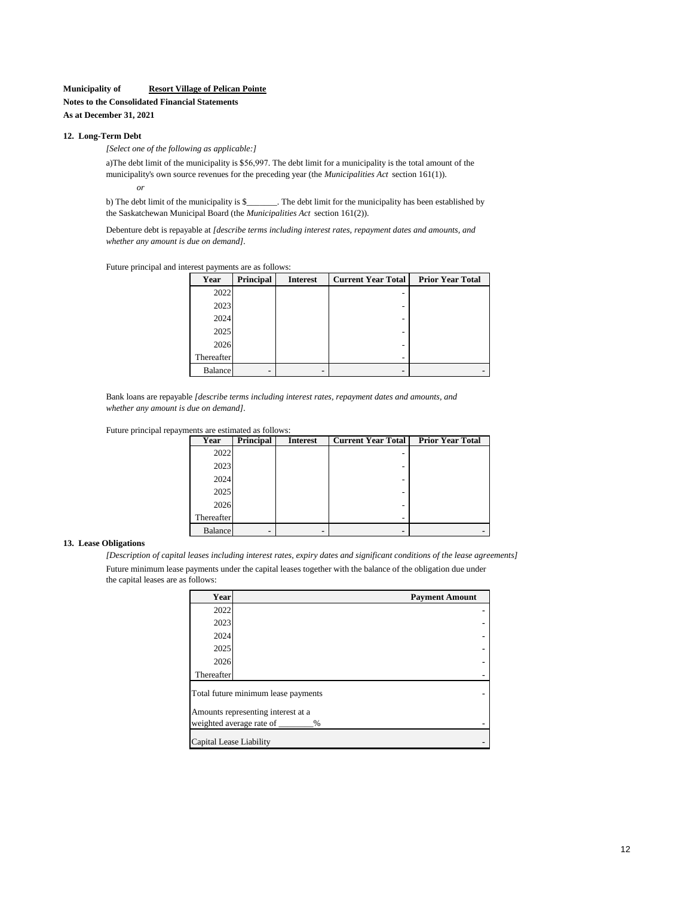**Notes to the Consolidated Financial Statements**

**As at December 31, 2021**

# **12. Long-Term Debt**

*[Select one of the following as applicable:]*

*or* a) The debt limit of the municipality is \$56,997. The debt limit for a municipality is the total amount of the municipality's own source revenues for the preceding year (the *Municipalities Act* section 161(1)).

b) The debt limit of the municipality is \$\_\_\_\_\_\_\_. The debt limit for the municipality has been established by the Saskatchewan Municipal Board (the *Municipalities Act* section 161(2)).

Debenture debt is repayable at *[describe terms including interest rates, repayment dates and amounts, and whether any amount is due on demand].*

Future principal and interest payments are as follows:

| Year           | Principal | <b>Interest</b> | <b>Current Year Total</b> | <b>Prior Year Total</b> |
|----------------|-----------|-----------------|---------------------------|-------------------------|
| 2022           |           |                 |                           |                         |
| 2023           |           |                 |                           |                         |
| 2024           |           |                 | -                         |                         |
| 2025           |           |                 |                           |                         |
| 2026           |           |                 | -                         |                         |
| Thereafter     |           |                 | -                         |                         |
| <b>Balance</b> | -         |                 |                           |                         |

Bank loans are repayable *[describe terms including interest rates, repayment dates and amounts, and whether any amount is due on demand].*



| Year           | Principal | <b>Interest</b> | <b>Current Year Total</b> | <b>Prior Year Total</b> |
|----------------|-----------|-----------------|---------------------------|-------------------------|
| 2022           |           |                 |                           |                         |
| 2023           |           |                 |                           |                         |
| 2024           |           |                 |                           |                         |
| 2025           |           |                 | -                         |                         |
| 2026           |           |                 | -                         |                         |
| Thereafter     |           |                 |                           |                         |
| <b>Balance</b> |           |                 |                           |                         |

#### **13. Lease Obligations**

*[Description of capital leases including interest rates, expiry dates and significant conditions of the lease agreements]* Future minimum lease payments under the capital leases together with the balance of the obligation due under the capital leases are as follows:

| Year                    | <b>Payment Amount</b>               |  |  |  |  |  |
|-------------------------|-------------------------------------|--|--|--|--|--|
| 2022                    |                                     |  |  |  |  |  |
| 2023                    |                                     |  |  |  |  |  |
| 2024                    |                                     |  |  |  |  |  |
| 2025                    |                                     |  |  |  |  |  |
| 2026                    |                                     |  |  |  |  |  |
| Thereafter              |                                     |  |  |  |  |  |
|                         | Total future minimum lease payments |  |  |  |  |  |
|                         | Amounts representing interest at a  |  |  |  |  |  |
|                         | weighted average rate of<br>$\%$    |  |  |  |  |  |
| Capital Lease Liability |                                     |  |  |  |  |  |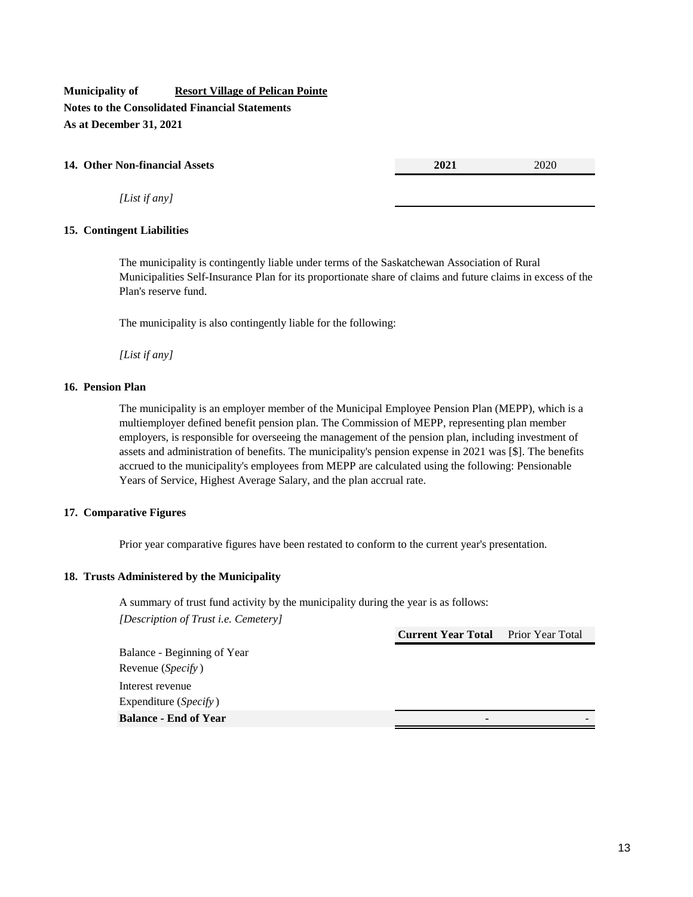**Municipality of Resort Village of Pelican Pointe Notes to the Consolidated Financial Statements As at December 31, 2021**

# **14. Other Non-financial Assets 2021** 2020

*[List if any]*

# **15. Contingent Liabilities**

The municipality is contingently liable under terms of the Saskatchewan Association of Rural Municipalities Self-Insurance Plan for its proportionate share of claims and future claims in excess of the Plan's reserve fund.

The municipality is also contingently liable for the following:

*[List if any]*

# **16. Pension Plan**

The municipality is an employer member of the Municipal Employee Pension Plan (MEPP), which is a multiemployer defined benefit pension plan. The Commission of MEPP, representing plan member employers, is responsible for overseeing the management of the pension plan, including investment of assets and administration of benefits. The municipality's pension expense in 2021 was [\$]. The benefits accrued to the municipality's employees from MEPP are calculated using the following: Pensionable Years of Service, Highest Average Salary, and the plan accrual rate.

# **17. Comparative Figures**

Prior year comparative figures have been restated to conform to the current year's presentation.

# **18. Trusts Administered by the Municipality**

A summary of trust fund activity by the municipality during the year is as follows: *[Description of Trust i.e. Cemetery]*

**Current Year Total** Prior Year Total

Balance - Beginning of Year Revenue (*Specify* ) Interest revenue Expenditure (*Specify* ) **Balance - End of Year -** -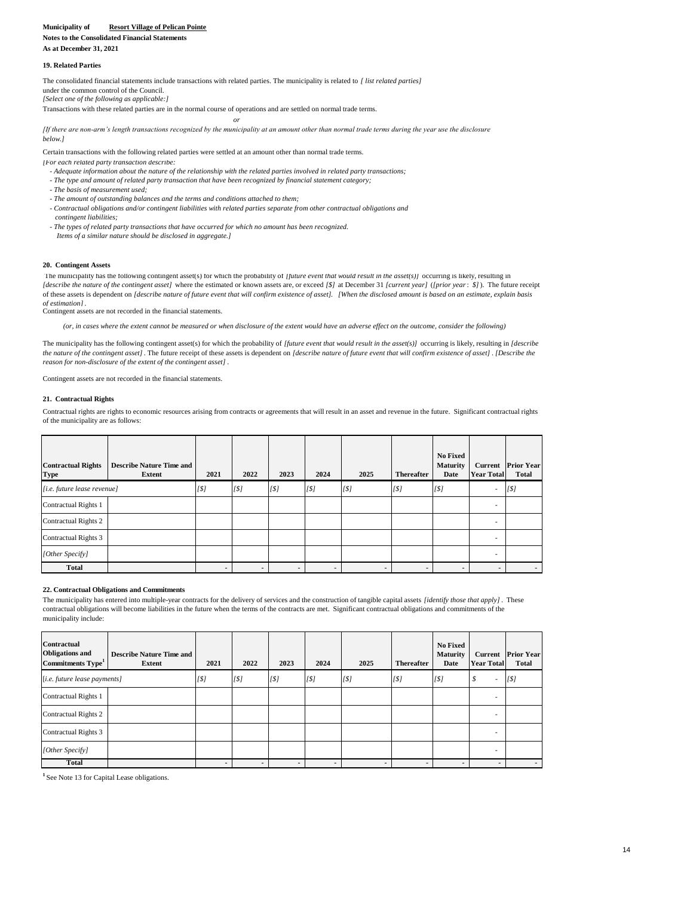**Notes to the Consolidated Financial Statements**

**As at December 31, 2021**

#### **19. Related Parties**

*[Select one of the following as applicable:]* The consolidated financial statements include transactions with related parties. The municipality is related to *[ list related parties]*  under the common control of the Council.

Transactions with these related parties are in the normal course of operations and are settled on normal trade terms.

*or [If there are non-arm's length transactions recognized by the municipality at an amount other than normal trade terms during the year use the disclosure below.]*

Certain transactions with the following related parties were settled at an amount other than normal trade terms.

*[For each related party transaction describe:*

- *Adequate information about the nature of the relationship with the related parties involved in related party transactions;*
- *The type and amount of related party transaction that have been recognized by financial statement category; - The basis of measurement used;*
- *The amount of outstanding balances and the terms and conditions attached to them;*
- *Contractual obligations and/or contingent liabilities with related parties separate from other contractual obligations and contingent liabilities;*
- *The types of related party transactions that have occurred for which no amount has been recognized. Items of a similar nature should be disclosed in aggregate.]*

#### **20. Contingent Assets**

The municipality has the following contingent asset(s) for which the probability of *[future event that would result in the asset(s)]* occurring is likely, resulting in *[describe the nature of the contingent asset]* where the estimated or known assets are, or exceed *[\$]* at December 31 *[current year]* (*[prior year*: *\$]*). The future receipt of these assets is dependent on *[describe nature of future event that will confirm existence of asset]. [When the disclosed amount is based on an estimate, explain basis of estimation]*.

Contingent assets are not recorded in the financial statements.

 *(or, in cases where the extent cannot be measured or when disclosure of the extent would have an adverse effect on the outcome, consider the following)*

The municipality has the following contingent asset(s) for which the probability of *[future event that would result in the asset(s)]* occurring is likely, resulting in *[describe the nature of the contingent asset]* . The future receipt of these assets is dependent on *[describe nature of future event that will confirm existence of asset]* . *[Describe the reason for non-disclosure of the extent of the contingent asset]* .

Contingent assets are not recorded in the financial statements.

#### **21. Contractual Rights**

Contractual rights are rights to economic resources arising from contracts or agreements that will result in an asset and revenue in the future. Significant contractual rights of the municipality are as follows:

| <b>Contractual Rights</b><br><b>Type</b> | <b>Describe Nature Time and</b><br>Extent | 2021     | 2022                     | 2023           | 2024     | 2025     | <b>Thereafter</b> | <b>No Fixed</b><br><b>Maturity</b><br>Date | Current<br><b>Year Total</b> | <b>Prior Year</b><br><b>Total</b> |
|------------------------------------------|-------------------------------------------|----------|--------------------------|----------------|----------|----------|-------------------|--------------------------------------------|------------------------------|-----------------------------------|
| [i.e. future lease revenue]              |                                           | $^{[S]}$ | $^{[S]}$                 | $^{[S]}$       | $^{[S]}$ | $^{[S]}$ | $^{[S]}$          | $^{[S]}$                                   | ۰                            | [5]                               |
| Contractual Rights 1                     |                                           |          |                          |                |          |          |                   |                                            | ۰                            |                                   |
| Contractual Rights 2                     |                                           |          |                          |                |          |          |                   |                                            | ۰                            |                                   |
| Contractual Rights 3                     |                                           |          |                          |                |          |          |                   |                                            |                              |                                   |
| [Other Specify]                          |                                           |          |                          |                |          |          |                   |                                            |                              |                                   |
| <b>Total</b>                             |                                           |          | $\overline{\phantom{a}}$ | $\blacksquare$ |          |          |                   |                                            |                              | $\overline{\phantom{a}}$          |

#### **22. Contractual Obligations and Commitments**

The municipality has entered into multiple-year contracts for the delivery of services and the construction of tangible capital assets *[identify those that apply]*. These contractual obligations will become liabilities in the future when the terms of the contracts are met. Significant contractual obligations and commitments of the municipality include:

| <b>Contractual</b><br><b>Obligations and</b><br>Commitments Type <sup>1</sup> | <b>Describe Nature Time and</b><br>Extent | 2021     | 2022     | 2023             | 2024     | 2025 | <b>Thereafter</b>        | <b>No Fixed</b><br><b>Maturity</b><br>Date | <b>Year Total</b> | <b>Current</b> Prior Year<br>Total |
|-------------------------------------------------------------------------------|-------------------------------------------|----------|----------|------------------|----------|------|--------------------------|--------------------------------------------|-------------------|------------------------------------|
| [i.e. future lease payments]                                                  |                                           | $^{[S]}$ | $^{[S]}$ | [ <sub>1</sub> ] | $^{[S]}$ | [5]  | [5]                      | $^{[S]}$                                   | \$<br>٠           | [5]                                |
| Contractual Rights 1                                                          |                                           |          |          |                  |          |      |                          |                                            | ٠                 |                                    |
| Contractual Rights 2                                                          |                                           |          |          |                  |          |      |                          |                                            | ٠                 |                                    |
| Contractual Rights 3                                                          |                                           |          |          |                  |          |      |                          |                                            | ٠                 |                                    |
| [Other Specify]                                                               |                                           |          |          |                  |          |      |                          |                                            |                   |                                    |
| Total                                                                         |                                           |          |          | $\blacksquare$   |          |      | $\overline{\phantom{a}}$ |                                            |                   |                                    |

<sup>1</sup> See Note 13 for Capital Lease obligations.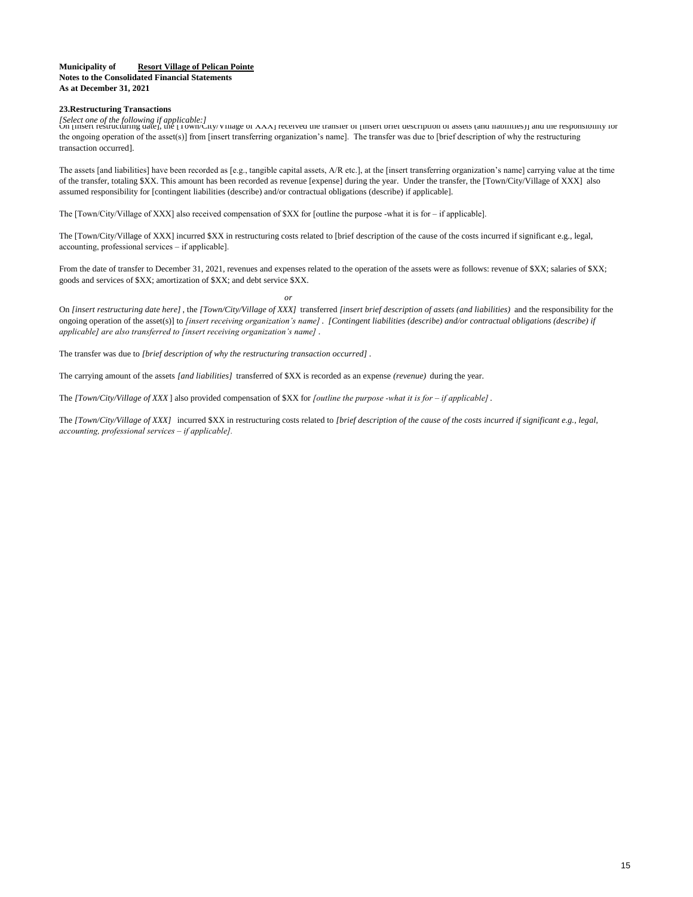#### **Municipality of Resort Village of Pelican Pointe Notes to the Consolidated Financial Statements As at December 31, 2021**

#### **23.Restructuring Transactions**

*[Select one of the following if applicable:]* On [insert restructuring date], the [Town/City/Village of XXX] received the transfer of [insert brief description of assets (and liabilities)] and the responsibility for the ongoing operation of the asset(s)] from [insert transferring organization's name]. The transfer was due to [brief description of why the restructuring transaction occurred].

The assets [and liabilities] have been recorded as [e.g., tangible capital assets, A/R etc.], at the [insert transferring organization's name] carrying value at the time of the transfer, totaling \$XX. This amount has been recorded as revenue [expense] during the year. Under the transfer, the [Town/City/Village of XXX] also assumed responsibility for [contingent liabilities (describe) and/or contractual obligations (describe) if applicable].

The [Town/City/Village of XXX] also received compensation of \$XX for [outline the purpose -what it is for – if applicable].

The [Town/City/Village of XXX] incurred \$XX in restructuring costs related to [brief description of the cause of the costs incurred if significant e.g., legal, accounting, professional services – if applicable].

From the date of transfer to December 31, 2021, revenues and expenses related to the operation of the assets were as follows: revenue of \$XX; salaries of \$XX; goods and services of \$XX; amortization of \$XX; and debt service \$XX.

*or*

On *[insert restructuring date here]* , the *[Town/City/Village of XXX]* transferred *[insert brief description of assets (and liabilities)* and the responsibility for the ongoing operation of the asset(s)] to *[insert receiving organization's name]* . *[Contingent liabilities (describe) and/or contractual obligations (describe) if applicable] are also transferred to [insert receiving organization's name]* .

The transfer was due to *[brief description of why the restructuring transaction occurred]* .

The carrying amount of the assets *[and liabilities]* transferred of \$XX is recorded as an expense *(revenue)* during the year.

The *[Town/City/Village of XXX* ] also provided compensation of \$XX for *[outline the purpose -what it is for – if applicable]*.

The *[Town/City/Village of XXX]* incurred \$XX in restructuring costs related to *[brief description of the cause of the costs incurred if significant e.g., legal, accounting, professional services – if applicable].*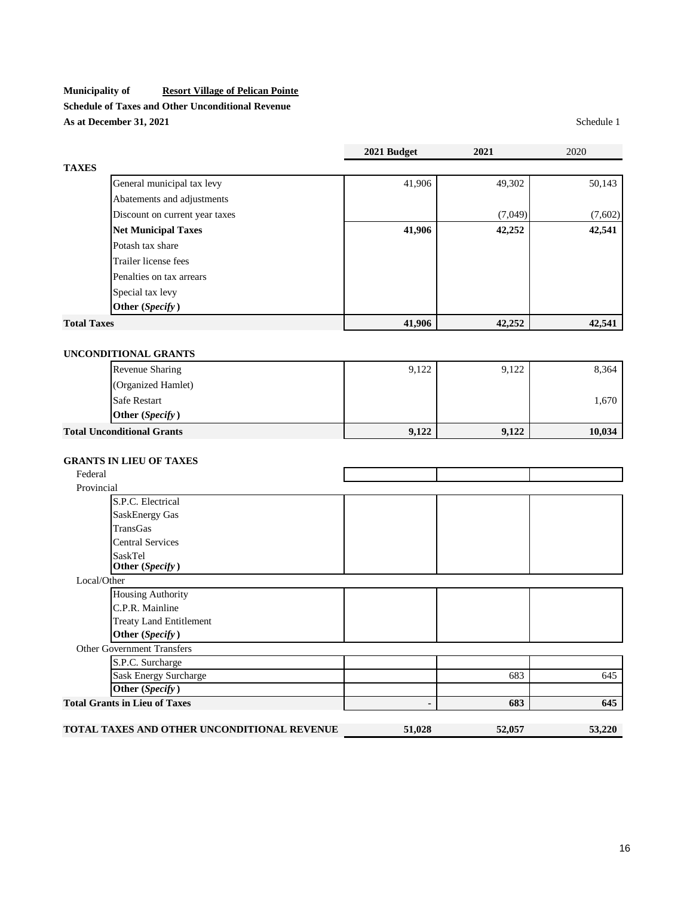**Schedule of Taxes and Other Unconditional Revenue As at December 31, 2021** Schedule 1

|                       |                                             | 2021 Budget | 2021    | 2020    |
|-----------------------|---------------------------------------------|-------------|---------|---------|
| <b>TAXES</b>          |                                             |             |         |         |
|                       | General municipal tax levy                  | 41,906      | 49,302  | 50,143  |
|                       | Abatements and adjustments                  |             |         |         |
|                       | Discount on current year taxes              |             | (7,049) | (7,602) |
|                       | <b>Net Municipal Taxes</b>                  | 41,906      | 42,252  | 42,541  |
|                       | Potash tax share                            |             |         |         |
|                       | Trailer license fees                        |             |         |         |
|                       | Penalties on tax arrears                    |             |         |         |
|                       | Special tax levy                            |             |         |         |
|                       | Other (Specify)                             |             |         |         |
| <b>Total Taxes</b>    |                                             | 41,906      | 42,252  | 42,541  |
|                       |                                             |             |         |         |
|                       | UNCONDITIONAL GRANTS                        |             |         |         |
|                       | Revenue Sharing                             | 9,122       | 9,122   | 8,364   |
|                       |                                             |             |         |         |
|                       | (Organized Hamlet)                          |             |         |         |
|                       | Safe Restart                                |             |         | 1,670   |
|                       | Other (Specify)                             |             |         |         |
|                       | <b>Total Unconditional Grants</b>           | 9,122       | 9,122   | 10,034  |
|                       |                                             |             |         |         |
|                       | <b>GRANTS IN LIEU OF TAXES</b>              |             |         |         |
| Federal<br>Provincial |                                             |             |         |         |
|                       | S.P.C. Electrical                           |             |         |         |
|                       | <b>SaskEnergy Gas</b>                       |             |         |         |
|                       | TransGas                                    |             |         |         |
|                       | <b>Central Services</b>                     |             |         |         |
|                       | SaskTel                                     |             |         |         |
|                       | Other (Specify)                             |             |         |         |
|                       | Local/Other                                 |             |         |         |
|                       | <b>Housing Authority</b>                    |             |         |         |
|                       | C.P.R. Mainline                             |             |         |         |
|                       | <b>Treaty Land Entitlement</b>              |             |         |         |
|                       | Other (Specify)                             |             |         |         |
|                       | <b>Other Government Transfers</b>           |             |         |         |
|                       | S.P.C. Surcharge                            |             |         |         |
|                       | <b>Sask Energy Surcharge</b>                |             | 683     | 645     |
|                       | Other (Specify)                             |             |         |         |
|                       | <b>Total Grants in Lieu of Taxes</b>        |             | 683     | 645     |
|                       |                                             |             |         |         |
|                       | TOTAL TAXES AND OTHER UNCONDITIONAL REVENUE | 51,028      | 52,057  | 53,220  |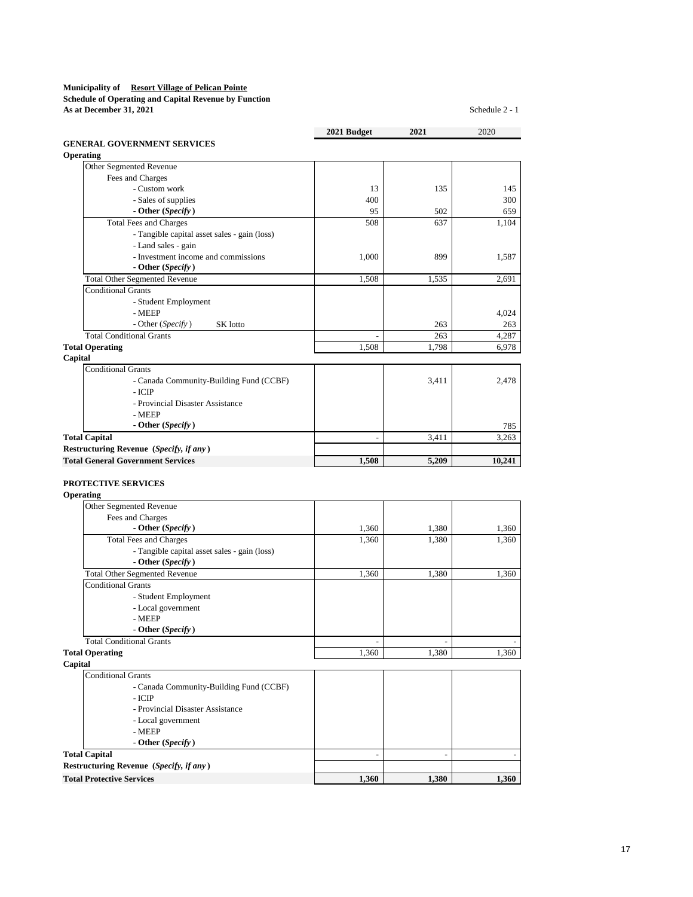#### **Municipality of Resort Village of Pelican Pointe Schedule of Operating and Capital Revenue by Function**

**As at December 31, 2021** Schedule 2 - 1

|                                                   | 2021 Budget    | 2021                     | 2020   |
|---------------------------------------------------|----------------|--------------------------|--------|
| <b>GENERAL GOVERNMENT SERVICES</b>                |                |                          |        |
| Operating<br>Other Segmented Revenue              |                |                          |        |
| Fees and Charges                                  |                |                          |        |
| - Custom work                                     | 13             | 135                      | 145    |
| - Sales of supplies                               | 400            |                          | 300    |
| - Other (Specify)                                 | 95             | 502                      | 659    |
| <b>Total Fees and Charges</b>                     | 508            | 637                      | 1,104  |
| - Tangible capital asset sales - gain (loss)      |                |                          |        |
| - Land sales - gain                               |                |                          |        |
| - Investment income and commissions               | 1,000          | 899                      | 1,587  |
| - Other (Specify)                                 |                |                          |        |
| <b>Total Other Segmented Revenue</b>              | 1,508          | 1,535                    | 2,691  |
| <b>Conditional Grants</b>                         |                |                          |        |
| - Student Employment                              |                |                          |        |
| - MEEP                                            |                |                          | 4,024  |
| - Other (Specify)<br>SK lotto                     |                | 263                      | 263    |
| <b>Total Conditional Grants</b>                   |                | 263                      | 4,287  |
| <b>Total Operating</b>                            | 1,508          | 1,798                    | 6,978  |
| Capital                                           |                |                          |        |
| <b>Conditional Grants</b>                         |                |                          |        |
| - Canada Community-Building Fund (CCBF)           |                | 3,411                    | 2,478  |
| - ICIP                                            |                |                          |        |
| - Provincial Disaster Assistance                  |                |                          |        |
| - MEEP                                            |                |                          |        |
| - Other $(Specify)$                               |                |                          | 785    |
| <b>Total Capital</b>                              | $\overline{a}$ | 3,411                    | 3,263  |
| Restructuring Revenue (Specify, if any)           |                |                          |        |
| <b>Total General Government Services</b>          | 1,508          | 5,209                    | 10,241 |
| <b>PROTECTIVE SERVICES</b><br>Operating           |                |                          |        |
| Other Segmented Revenue                           |                |                          |        |
| Fees and Charges                                  |                |                          |        |
| - Other (Specify)                                 | 1,360          | 1,380                    | 1,360  |
| <b>Total Fees and Charges</b>                     | 1,360          | 1,380                    | 1,360  |
| - Tangible capital asset sales - gain (loss)      |                |                          |        |
| - Other (Specify)                                 |                |                          |        |
| <b>Total Other Segmented Revenue</b>              | 1,360          | 1,380                    | 1,360  |
| <b>Conditional Grants</b>                         |                |                          |        |
| - Student Employment                              |                |                          |        |
| - Local government                                |                |                          |        |
| - MEEP                                            |                |                          |        |
| - Other (Specify)                                 |                |                          |        |
| <b>Total Conditional Grants</b>                   |                |                          |        |
| <b>Total Operating</b>                            | 1,360          | 1,380                    | 1,360  |
| Capital                                           |                |                          |        |
| <b>Conditional Grants</b>                         |                |                          |        |
| - Canada Community-Building Fund (CCBF)<br>- ICIP |                |                          |        |
| - Provincial Disaster Assistance                  |                |                          |        |
| - Local government                                |                |                          |        |
| - MEEP                                            |                |                          |        |
| - Other (Specify)                                 |                |                          |        |
| <b>Total Capital</b>                              | $\overline{a}$ | $\overline{\phantom{a}}$ |        |
| Restructuring Revenue (Specify, if any)           |                |                          |        |
| <b>Total Protective Services</b>                  | 1,360          | 1,380                    | 1,360  |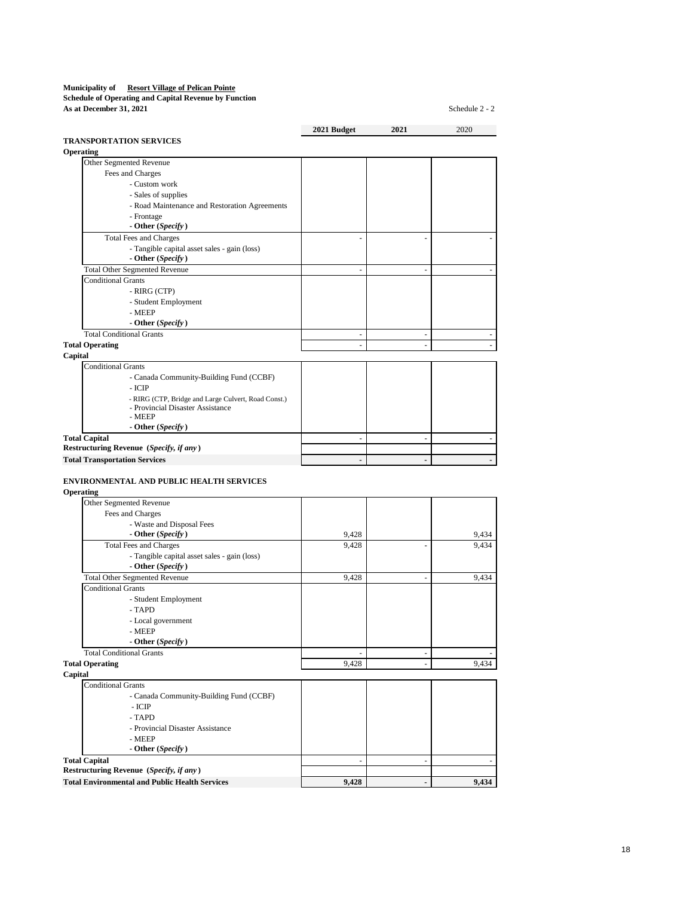**Schedule of Operating and Capital Revenue by Function As at December 31, 2021** Schedule 2 - 2

**2021 Budget 2021** 2020 **TRANSPORTATION SERVICES Operating** Other Segmented Revenue Fees and Charges - Custom work - Sales of supplies - Road Maintenance and Restoration Agreements - Frontage  **- Other (***Specify* **)** Total Fees and Charges - Tangible capital asset sales - gain (loss)  **- Other (***Specify* **)** Total Other Segmented Revenue - - - Conditional Grants - RIRG (CTP) - Student Employment - MEEP  **- Other (***Specify* **)** Total Conditional Grants **Total Operating Capital** Conditional Grants - Canada Community-Building Fund (CCBF) - ICIP - RIRG (CTP, Bridge and Large Culvert, Road Const.) - Provincial Disaster Assistance - MEEP  **- Other (***Specify* **) Total Capital**  $\qquad \qquad \qquad$ **Restructuring Revenue (***Specify, if any* **) Total Transportation Services ENVIRONMENTAL AND PUBLIC HEALTH SERVICES**

**Operating**

| Other Segmented Revenue                      |       |   |       |
|----------------------------------------------|-------|---|-------|
| Fees and Charges                             |       |   |       |
| - Waste and Disposal Fees                    |       |   |       |
| - Other (Specify)                            | 9,428 |   | 9,434 |
| <b>Total Fees and Charges</b>                | 9,428 |   | 9,434 |
| - Tangible capital asset sales - gain (loss) |       |   |       |
| - Other (Specify)                            |       |   |       |
| <b>Total Other Segmented Revenue</b>         | 9,428 | ۰ | 9,434 |
| <b>Conditional Grants</b>                    |       |   |       |
| - Student Employment                         |       |   |       |
| - TAPD                                       |       |   |       |
| - Local government                           |       |   |       |
| - MEEP                                       |       |   |       |
| - Other (Specify)                            |       |   |       |
| <b>Total Conditional Grants</b>              |       |   |       |
| <b>Total Operating</b>                       | 9,428 | ۰ | 9,434 |
| Capital                                      |       |   |       |
| <b>Conditional Grants</b>                    |       |   |       |
| - Canada Community-Building Fund (CCBF)      |       |   |       |
| $-ICIP$                                      |       |   |       |
| - TAPD                                       |       |   |       |
| - Provincial Disaster Assistance             |       |   |       |
| - MEEP                                       |       |   |       |
| - Other (Specify)                            |       |   |       |
| <b>Total Capital</b>                         |       |   |       |

**Restructuring Revenue (***Specify, if any* **)** Total Environmental and Public Health Services 8 19,428 - 9,428 9,434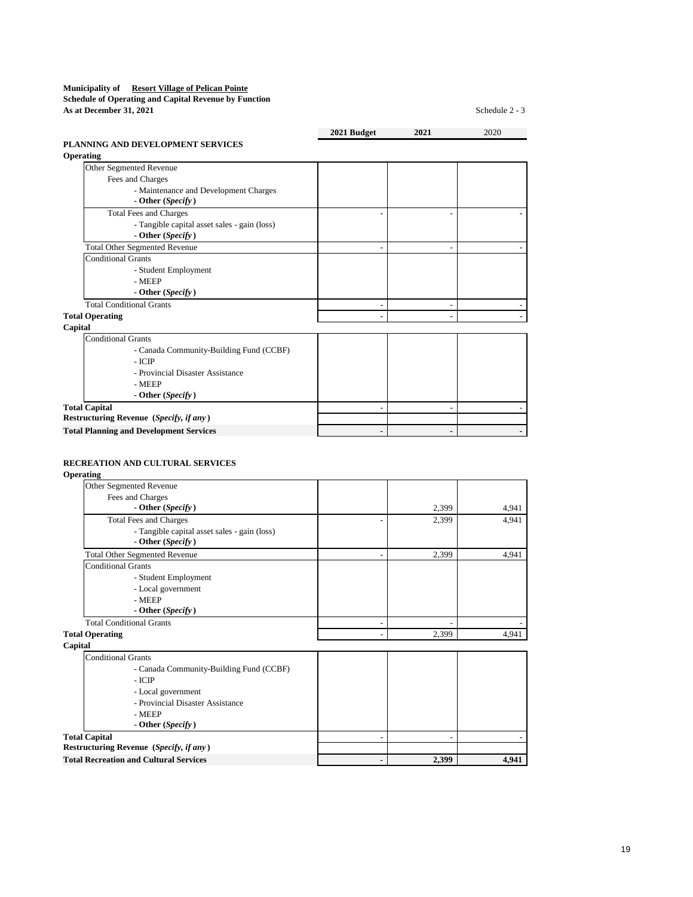### **Municipality of Resort Village of Pelican Pointe Schedule of Operating and Capital Revenue by Function**

**As at December 31, 2021** Schedule 2 - 3

|                                                | 2021 Budget | 2021 | 2020 |
|------------------------------------------------|-------------|------|------|
| PLANNING AND DEVELOPMENT SERVICES              |             |      |      |
| Operating                                      |             |      |      |
| Other Segmented Revenue                        |             |      |      |
| Fees and Charges                               |             |      |      |
| - Maintenance and Development Charges          |             |      |      |
| - Other $(Specify)$                            |             |      |      |
| <b>Total Fees and Charges</b>                  |             |      |      |
| - Tangible capital asset sales - gain (loss)   |             |      |      |
| - Other (Specify)                              |             |      |      |
| <b>Total Other Segmented Revenue</b>           |             |      |      |
| <b>Conditional Grants</b>                      |             |      |      |
| - Student Employment                           |             |      |      |
| - MEEP                                         |             |      |      |
| - Other $(Specify)$                            |             |      |      |
| <b>Total Conditional Grants</b>                |             |      |      |
| <b>Total Operating</b>                         |             |      |      |
| Capital                                        |             |      |      |
| <b>Conditional Grants</b>                      |             |      |      |
| - Canada Community-Building Fund (CCBF)        |             |      |      |
| - ICIP                                         |             |      |      |
| - Provincial Disaster Assistance               |             |      |      |
| - MEEP                                         |             |      |      |
| - Other $(Specify)$                            |             |      |      |
| <b>Total Capital</b>                           |             |      |      |
| Restructuring Revenue (Specify, if any)        |             |      |      |
| <b>Total Planning and Development Services</b> | ٠           |      |      |

# **RECREATION AND CULTURAL SERVICES**

**Operating**

| Other Segmented Revenue                                             |       |       |
|---------------------------------------------------------------------|-------|-------|
| Fees and Charges                                                    |       |       |
| - Other $(Specify)$                                                 | 2,399 | 4,941 |
| <b>Total Fees and Charges</b>                                       | 2,399 | 4,941 |
| - Tangible capital asset sales - gain (loss)<br>- Other $(Specify)$ |       |       |
| <b>Total Other Segmented Revenue</b>                                | 2,399 | 4.941 |
| <b>Conditional Grants</b>                                           |       |       |
| - Student Employment                                                |       |       |
| - Local government                                                  |       |       |
| - MEEP                                                              |       |       |
| - Other $(Specify)$                                                 |       |       |
| <b>Total Conditional Grants</b>                                     |       |       |
| <b>Total Operating</b>                                              | 2.399 | 4.941 |
| Capital                                                             |       |       |
| <b>Conditional Grants</b>                                           |       |       |
| - Canada Community-Building Fund (CCBF)                             |       |       |
| - ICIP                                                              |       |       |
| - Local government                                                  |       |       |
| - Provincial Disaster Assistance                                    |       |       |
| - MEEP                                                              |       |       |
| - Other $(Specify)$                                                 |       |       |
| <b>Total Capital</b>                                                |       |       |
| Restructuring Revenue (Specify, if any)                             |       |       |
| <b>Total Recreation and Cultural Services</b>                       | 2,399 | 4,941 |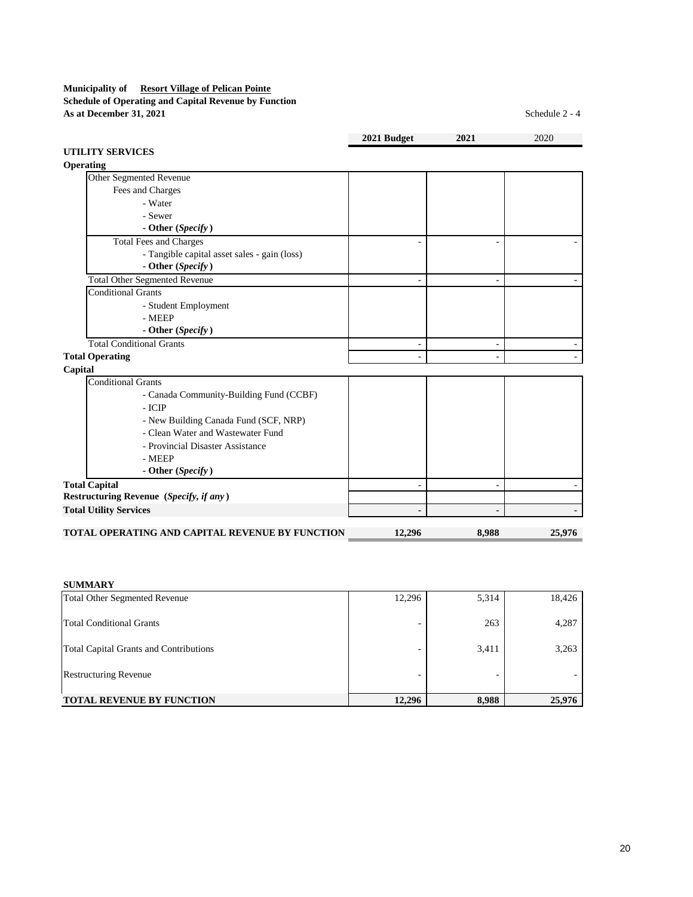# **Municipality of Resort Village of Pelican Pointe Schedule of Operating and Capital Revenue by Function As at December 31, 2021** Schedule 2 - 4

**2021 Budget 2021** 2020 **UTILITY SERVICES Operating** Other Segmented Revenue Fees and Charges - Water - Sewer  **- Other (***Specify* **)** Total Fees and Charges - Tangible capital asset sales - gain (loss)  **- Other (***Specify* **)** Total Other Segmented Revenue Conditional Grants - Student Employment - MEEP  **- Other (***Specify* **)** Total Conditional Grants - -**Total Operating**  $\qquad \qquad$ **Capital** Conditional Grants - Canada Community-Building Fund (CCBF) - ICIP - New Building Canada Fund (SCF, NRP) - Clean Water and Wastewater Fund - Provincial Disaster Assistance - MEEP  **- Other (***Specify* **) Total Capital Restructuring Revenue (***Specify, if any* **) Total Utility Services - - -**

# **TOTAL OPERATING AND CAPITAL REVENUE BY FUNCTION 12,296 8,988 25,976**

**SUMMARY**

| <b>Total Other Segmented Revenue</b>          | 12,296 | 5,314 | 18,426 |
|-----------------------------------------------|--------|-------|--------|
| Total Conditional Grants                      |        | 263   | 4,287  |
| <b>Total Capital Grants and Contributions</b> |        | 3,411 | 3,263  |
| <b>Restructuring Revenue</b>                  |        |       |        |
| <b>TOTAL REVENUE BY FUNCTION</b>              | 12,296 | 8,988 | 25,976 |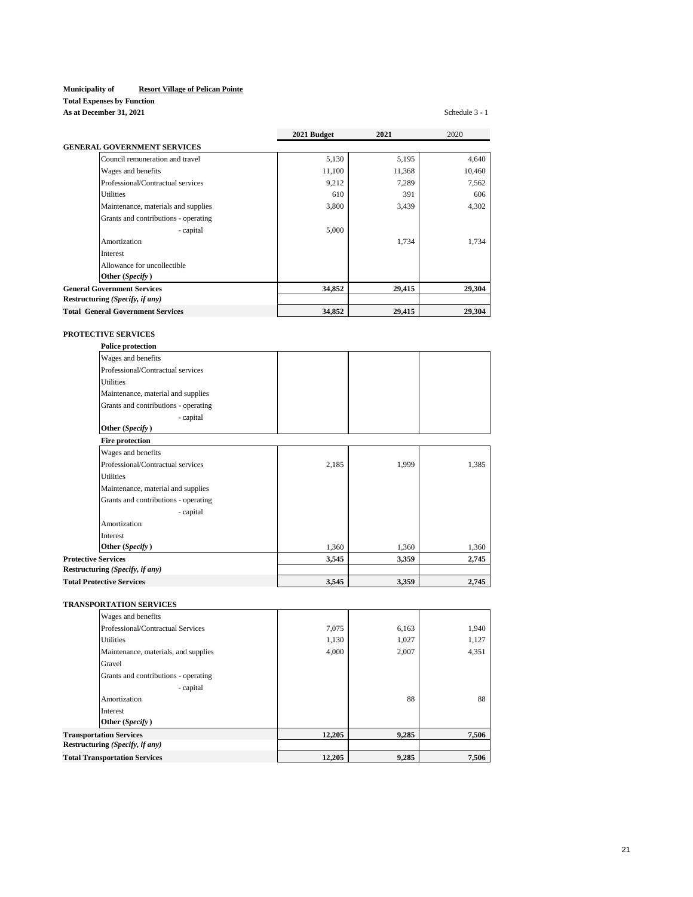# **Total Expenses by Function**

**As at December 31, 2021** Schedule 3 - 1

|                                          | 2021 Budget | 2021   | 2020   |
|------------------------------------------|-------------|--------|--------|
| <b>GENERAL GOVERNMENT SERVICES</b>       |             |        |        |
| Council remuneration and travel          | 5,130       | 5,195  | 4,640  |
| Wages and benefits                       | 11,100      | 11,368 | 10,460 |
| Professional/Contractual services        | 9,212       | 7,289  | 7,562  |
| <b>Utilities</b>                         | 610         | 391    | 606    |
| Maintenance, materials and supplies      | 3,800       | 3,439  | 4,302  |
| Grants and contributions - operating     |             |        |        |
| - capital                                | 5,000       |        |        |
| Amortization                             |             | 1,734  | 1.734  |
| Interest                                 |             |        |        |
| Allowance for uncollectible              |             |        |        |
| Other (Specify)                          |             |        |        |
| <b>General Government Services</b>       | 34,852      | 29,415 | 29,304 |
| Restructuring (Specify, if any)          |             |        |        |
| <b>Total General Government Services</b> | 34,852      | 29,415 | 29,304 |

# **PROTECTIVE SERVICES**

| <b>Police protection</b>             |       |       |       |
|--------------------------------------|-------|-------|-------|
| Wages and benefits                   |       |       |       |
| Professional/Contractual services    |       |       |       |
| <b>Utilities</b>                     |       |       |       |
| Maintenance, material and supplies   |       |       |       |
| Grants and contributions - operating |       |       |       |
| - capital                            |       |       |       |
| Other (Specify)                      |       |       |       |
| <b>Fire protection</b>               |       |       |       |
| Wages and benefits                   |       |       |       |
| Professional/Contractual services    | 2,185 | 1,999 | 1,385 |
| <b>Utilities</b>                     |       |       |       |
| Maintenance, material and supplies   |       |       |       |
| Grants and contributions - operating |       |       |       |
| - capital                            |       |       |       |
| Amortization                         |       |       |       |
| <b>Interest</b>                      |       |       |       |
| Other (Specify)                      | 1,360 | 1,360 | 1,360 |
| <b>Protective Services</b>           | 3,545 | 3,359 | 2,745 |
| Restructuring (Specify, if any)      |       |       |       |
| <b>Total Protective Services</b>     | 3,545 | 3,359 | 2,745 |

# **TRANSPORTATION SERVICES**

|                                      | Wages and benefits                   |        |       |       |
|--------------------------------------|--------------------------------------|--------|-------|-------|
|                                      | Professional/Contractual Services    | 7,075  | 6,163 | 1,940 |
|                                      | <b>Utilities</b>                     | 1,130  | 1,027 | 1,127 |
|                                      | Maintenance, materials, and supplies | 4,000  | 2,007 | 4,351 |
|                                      | Gravel                               |        |       |       |
|                                      | Grants and contributions - operating |        |       |       |
|                                      | - capital                            |        |       |       |
|                                      | Amortization                         |        | 88    | 88    |
|                                      | Interest                             |        |       |       |
|                                      | Other (Specify)                      |        |       |       |
|                                      | <b>Transportation Services</b>       | 12.205 | 9,285 | 7.506 |
|                                      | Restructuring (Specify, if any)      |        |       |       |
| <b>Total Transportation Services</b> |                                      | 12.205 | 9,285 | 7.506 |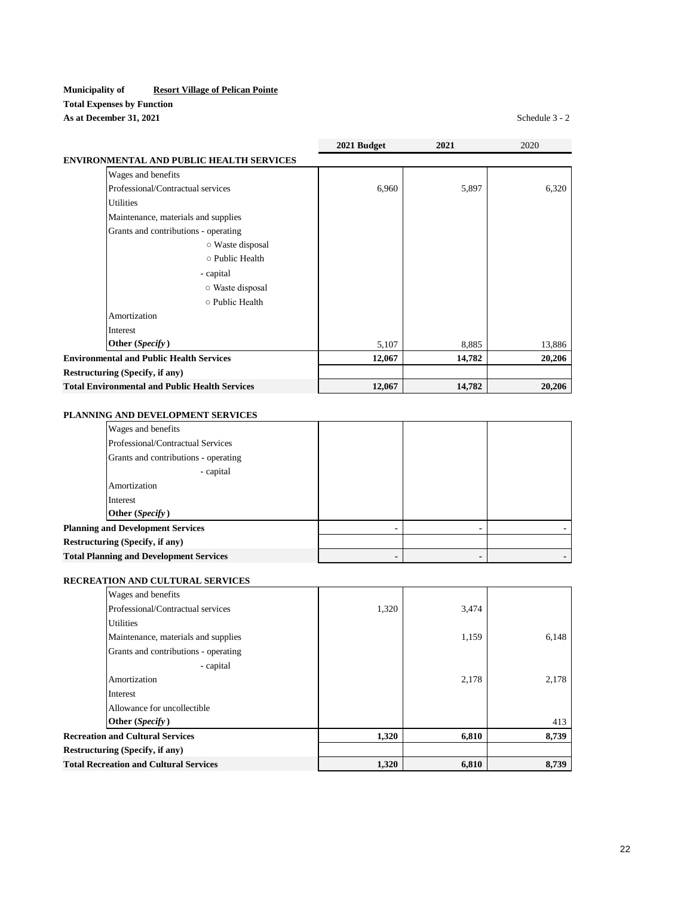# **Municipality of Resort Village of Pelican Pointe Total Expenses by Function As at December 31, 2021** Schedule 3 - 2

|                                                       | 2021 Budget | 2021   | 2020   |
|-------------------------------------------------------|-------------|--------|--------|
| <b>ENVIRONMENTAL AND PUBLIC HEALTH SERVICES</b>       |             |        |        |
| Wages and benefits                                    |             |        |        |
| Professional/Contractual services                     | 6,960       | 5,897  | 6,320  |
| <b>Utilities</b>                                      |             |        |        |
| Maintenance, materials and supplies                   |             |        |        |
| Grants and contributions - operating                  |             |        |        |
| ○ Waste disposal                                      |             |        |        |
| o Public Health                                       |             |        |        |
| - capital                                             |             |        |        |
| ○ Waste disposal                                      |             |        |        |
| o Public Health                                       |             |        |        |
| Amortization                                          |             |        |        |
| Interest                                              |             |        |        |
| Other (Specify)                                       | 5,107       | 8,885  | 13,886 |
| <b>Environmental and Public Health Services</b>       | 12,067      | 14,782 | 20,206 |
| Restructuring (Specify, if any)                       |             |        |        |
| <b>Total Environmental and Public Health Services</b> | 12,067      | 14,782 | 20,206 |

# **PLANNING AND DEVELOPMENT SERVICES**

| Wages and benefits                             |  |  |  |
|------------------------------------------------|--|--|--|
| Professional/Contractual Services              |  |  |  |
| Grants and contributions - operating           |  |  |  |
| - capital                                      |  |  |  |
| Amortization                                   |  |  |  |
| Interest                                       |  |  |  |
| Other (Specify)                                |  |  |  |
| <b>Planning and Development Services</b>       |  |  |  |
| <b>Restructuring (Specify, if any)</b>         |  |  |  |
| <b>Total Planning and Development Services</b> |  |  |  |

# **RECREATION AND CULTURAL SERVICES**

| Wages and benefits                            |       |       |       |
|-----------------------------------------------|-------|-------|-------|
| Professional/Contractual services             | 1,320 | 3,474 |       |
| <b>Utilities</b>                              |       |       |       |
| Maintenance, materials and supplies           |       | 1,159 | 6,148 |
| Grants and contributions - operating          |       |       |       |
| - capital                                     |       |       |       |
| Amortization                                  |       | 2,178 | 2,178 |
| Interest                                      |       |       |       |
| Allowance for uncollectible                   |       |       |       |
| Other (Specify)                               |       |       | 413   |
| <b>Recreation and Cultural Services</b>       | 1,320 | 6,810 | 8,739 |
| Restructuring (Specify, if any)               |       |       |       |
| <b>Total Recreation and Cultural Services</b> | 1,320 | 6,810 | 8,739 |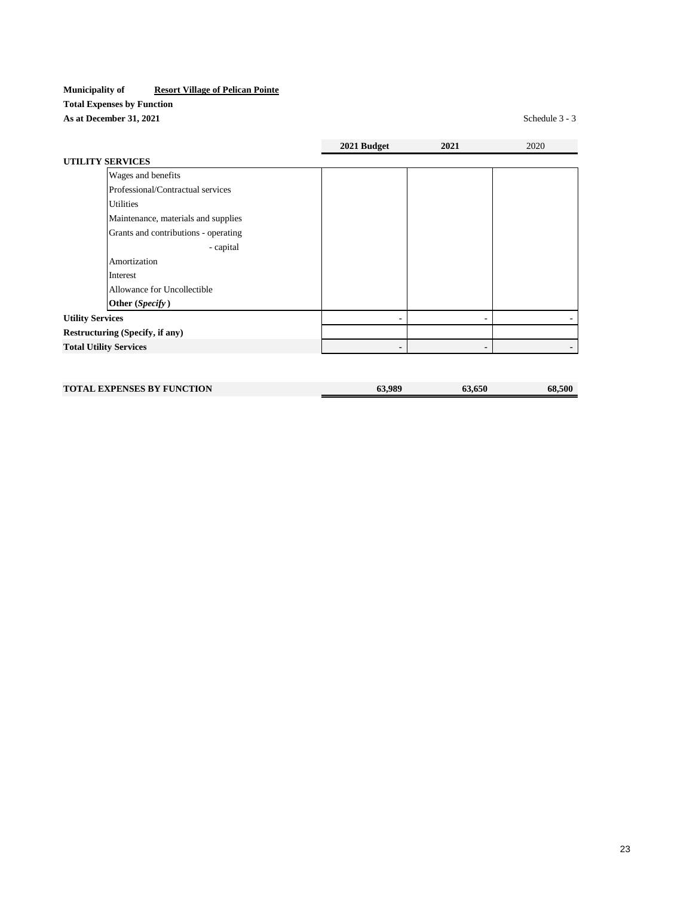# **Municipality of Resort Village of Pelican Pointe Total Expenses by Function As at December 31, 2021** Schedule 3 - 3

|                                      | 2021 Budget | 2021 | 2020 |
|--------------------------------------|-------------|------|------|
| <b>UTILITY SERVICES</b>              |             |      |      |
| Wages and benefits                   |             |      |      |
| Professional/Contractual services    |             |      |      |
| <b>Utilities</b>                     |             |      |      |
| Maintenance, materials and supplies  |             |      |      |
| Grants and contributions - operating |             |      |      |
| - capital                            |             |      |      |
| Amortization                         |             |      |      |
| Interest                             |             |      |      |
| Allowance for Uncollectible          |             |      |      |
| Other (Specify)                      |             |      |      |
| <b>Utility Services</b>              |             |      |      |
| Restructuring (Specify, if any)      |             |      |      |
| <b>Total Utility Services</b>        |             |      |      |
|                                      |             |      |      |
|                                      |             |      |      |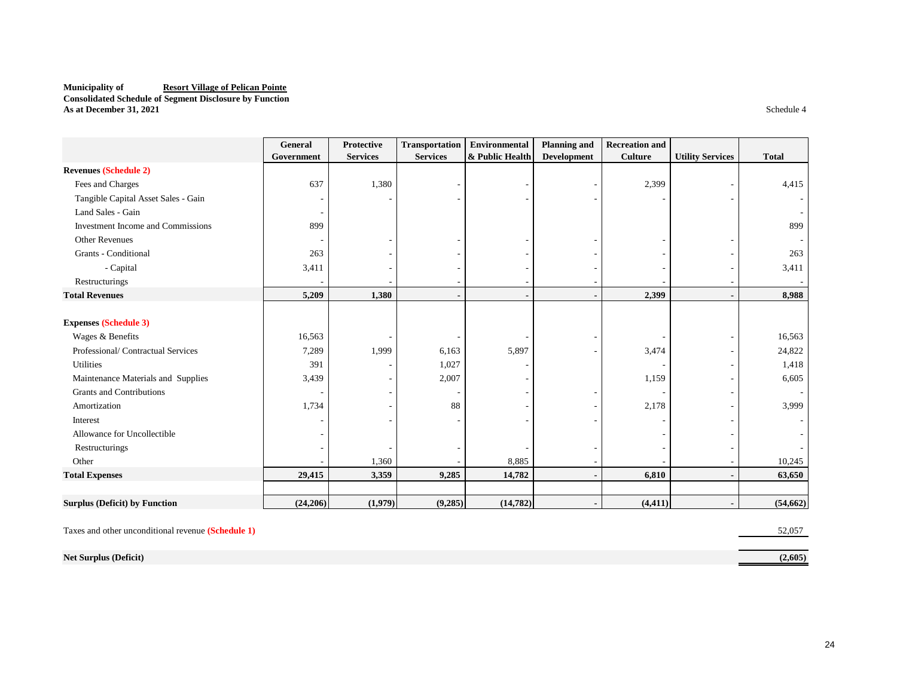#### **Municipality of Resort Village of Pelican Pointe Consolidated Schedule of Segment Disclosure by Function As at December 31, 2021** Schedule 4

|                                      | General    | Protective      | <b>Transportation</b> | Environmental   | <b>Planning and</b> | <b>Recreation and</b> |                         |              |
|--------------------------------------|------------|-----------------|-----------------------|-----------------|---------------------|-----------------------|-------------------------|--------------|
|                                      | Government | <b>Services</b> | <b>Services</b>       | & Public Health | <b>Development</b>  | <b>Culture</b>        | <b>Utility Services</b> | <b>Total</b> |
| <b>Revenues (Schedule 2)</b>         |            |                 |                       |                 |                     |                       |                         |              |
| Fees and Charges                     | 637        | 1,380           |                       |                 |                     | 2,399                 |                         | 4,415        |
| Tangible Capital Asset Sales - Gain  |            |                 |                       |                 |                     |                       |                         |              |
| Land Sales - Gain                    |            |                 |                       |                 |                     |                       |                         |              |
| Investment Income and Commissions    | 899        |                 |                       |                 |                     |                       |                         | 899          |
| <b>Other Revenues</b>                |            |                 |                       |                 |                     |                       |                         |              |
| Grants - Conditional                 | 263        |                 |                       |                 |                     |                       |                         | 263          |
| - Capital                            | 3,411      |                 |                       |                 |                     |                       |                         | 3,411        |
| Restructurings                       |            |                 |                       |                 |                     |                       |                         |              |
| <b>Total Revenues</b>                | 5,209      | 1,380           |                       |                 |                     | 2,399                 |                         | 8,988        |
|                                      |            |                 |                       |                 |                     |                       |                         |              |
| <b>Expenses (Schedule 3)</b>         |            |                 |                       |                 |                     |                       |                         |              |
| Wages & Benefits                     | 16,563     |                 |                       |                 |                     |                       |                         | 16,563       |
| Professional/Contractual Services    | 7,289      | 1,999           | 6,163                 | 5,897           |                     | 3,474                 |                         | 24,822       |
| Utilities                            | 391        |                 | 1,027                 |                 |                     |                       |                         | 1,418        |
| Maintenance Materials and Supplies   | 3,439      |                 | 2,007                 |                 |                     | 1,159                 |                         | 6,605        |
| Grants and Contributions             |            |                 |                       |                 |                     |                       |                         |              |
| Amortization                         | 1,734      |                 | 88                    |                 |                     | 2,178                 |                         | 3,999        |
| Interest                             |            |                 |                       |                 |                     |                       |                         |              |
| Allowance for Uncollectible          |            |                 |                       |                 |                     |                       |                         |              |
| Restructurings                       |            |                 |                       |                 |                     |                       |                         |              |
| Other                                |            | 1,360           |                       | 8,885           |                     |                       |                         | 10,245       |
| <b>Total Expenses</b>                | 29,415     | 3,359           | 9,285                 | 14,782          | $\blacksquare$      | 6,810                 |                         | 63,650       |
|                                      |            |                 |                       |                 |                     |                       |                         |              |
| <b>Surplus (Deficit) by Function</b> | (24,206)   | (1,979)         | (9,285)               | (14, 782)       |                     | (4, 411)              |                         | (54, 662)    |

Taxes and other unconditional revenue **(Schedule 1)** 52,057

**Net Surplus (Deficit) (2,605)**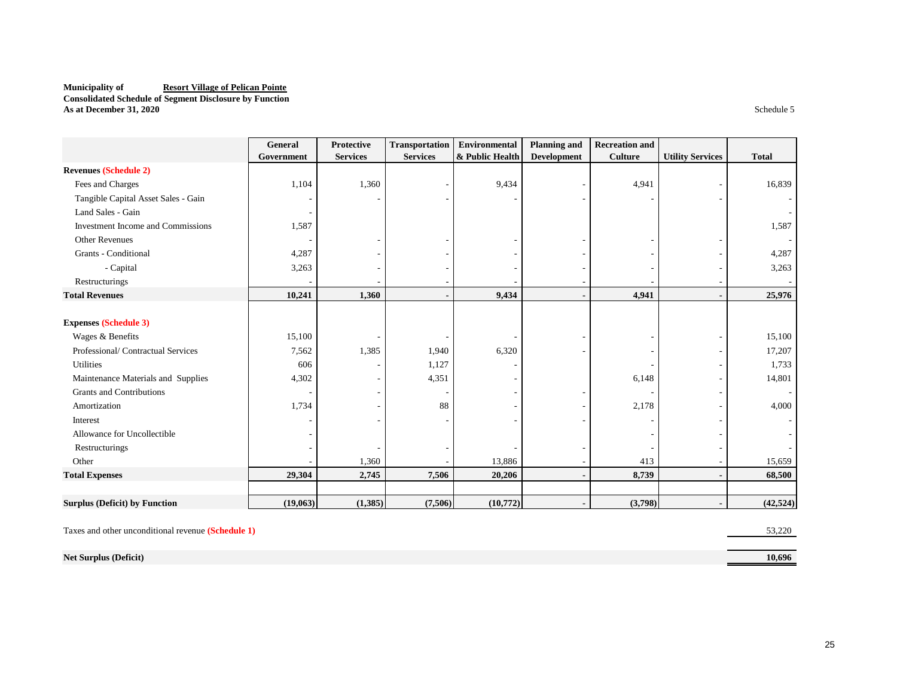#### **Municipality of Resort Village of Pelican Pointe Consolidated Schedule of Segment Disclosure by Function As at December 31, 2020** Schedule 5

|                                          | General    | <b>Protective</b> | <b>Transportation</b> | Environmental   | <b>Planning and</b> | <b>Recreation and</b> |                         |              |
|------------------------------------------|------------|-------------------|-----------------------|-----------------|---------------------|-----------------------|-------------------------|--------------|
|                                          | Government | <b>Services</b>   | <b>Services</b>       | & Public Health | <b>Development</b>  | <b>Culture</b>        | <b>Utility Services</b> | <b>Total</b> |
| <b>Revenues (Schedule 2)</b>             |            |                   |                       |                 |                     |                       |                         |              |
| Fees and Charges                         | 1,104      | 1,360             |                       | 9,434           |                     | 4,941                 |                         | 16,839       |
| Tangible Capital Asset Sales - Gain      |            |                   |                       |                 |                     |                       |                         |              |
| Land Sales - Gain                        |            |                   |                       |                 |                     |                       |                         |              |
| <b>Investment Income and Commissions</b> | 1,587      |                   |                       |                 |                     |                       |                         | 1,587        |
| <b>Other Revenues</b>                    |            |                   |                       |                 |                     |                       |                         |              |
| Grants - Conditional                     | 4,287      |                   |                       |                 |                     |                       |                         | 4,287        |
| - Capital                                | 3,263      |                   |                       |                 |                     |                       |                         | 3,263        |
| Restructurings                           |            |                   |                       |                 |                     |                       |                         |              |
| <b>Total Revenues</b>                    | 10,241     | 1,360             |                       | 9,434           |                     | 4,941                 |                         | 25,976       |
|                                          |            |                   |                       |                 |                     |                       |                         |              |
| <b>Expenses (Schedule 3)</b>             |            |                   |                       |                 |                     |                       |                         |              |
| Wages & Benefits                         | 15,100     |                   |                       |                 |                     |                       |                         | 15,100       |
| Professional/Contractual Services        | 7,562      | 1,385             | 1,940                 | 6,320           |                     |                       |                         | 17,207       |
| Utilities                                | 606        |                   | 1,127                 |                 |                     |                       |                         | 1,733        |
| Maintenance Materials and Supplies       | 4,302      |                   | 4,351                 |                 |                     | 6,148                 |                         | 14,801       |
| <b>Grants and Contributions</b>          |            |                   |                       |                 |                     |                       |                         |              |
| Amortization                             | 1,734      |                   | 88                    |                 |                     | 2,178                 |                         | 4,000        |
| Interest                                 |            |                   |                       |                 |                     |                       |                         |              |
| Allowance for Uncollectible              |            |                   |                       |                 |                     |                       |                         |              |
| Restructurings                           |            |                   |                       |                 |                     |                       |                         |              |
| Other                                    |            | 1,360             |                       | 13,886          |                     | 413                   |                         | 15,659       |
| <b>Total Expenses</b>                    | 29,304     | 2,745             | 7,506                 | 20,206          |                     | 8,739                 |                         | 68,500       |
|                                          |            |                   |                       |                 |                     |                       |                         |              |
| <b>Surplus (Deficit) by Function</b>     | (19,063)   | (1,385)           | (7,506)               | (10,772)        |                     | (3,798)               |                         | (42, 524)    |

Taxes and other unconditional revenue **(Schedule 1)** 53,220

**Net Surplus (Deficit) 10,696**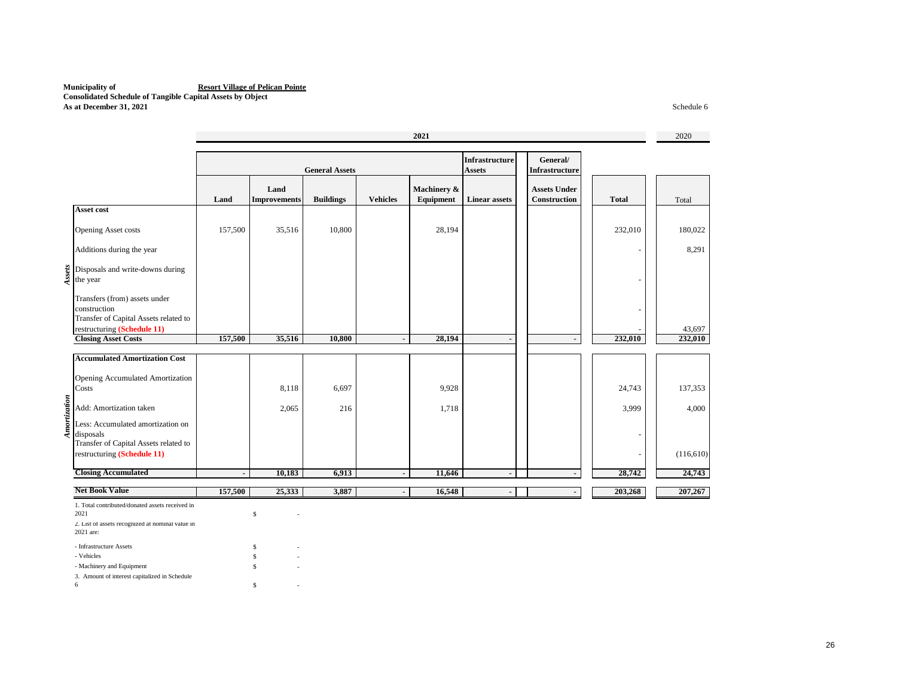#### **Municipality of Resort Village of Pelican Pointe Consolidated Schedule of Tangible Capital Assets by Object As at December 31, 2021** Schedule 6

|              |                                                                                                                          | 2021                     |                                                                 |                  |                          |                                   |                          | 2020                                |              |           |
|--------------|--------------------------------------------------------------------------------------------------------------------------|--------------------------|-----------------------------------------------------------------|------------------|--------------------------|-----------------------------------|--------------------------|-------------------------------------|--------------|-----------|
|              |                                                                                                                          |                          | <b>Infrastructure</b><br><b>Assets</b><br><b>General Assets</b> |                  |                          | General/<br><b>Infrastructure</b> |                          |                                     |              |           |
|              |                                                                                                                          | Land                     | Land<br><b>Improvements</b>                                     | <b>Buildings</b> | <b>Vehicles</b>          | Machinery &<br>Equipment          | <b>Linear assets</b>     | <b>Assets Under</b><br>Construction | <b>Total</b> | Total     |
|              | Asset cost                                                                                                               |                          |                                                                 |                  |                          |                                   |                          |                                     |              |           |
|              | <b>Opening Asset costs</b>                                                                                               | 157,500                  | 35,516                                                          | 10,800           |                          | 28,194                            |                          |                                     | 232,010      | 180,022   |
|              | Additions during the year                                                                                                |                          |                                                                 |                  |                          |                                   |                          |                                     | ٠            | 8,291     |
| Assets       | Disposals and write-downs during<br>the year                                                                             |                          |                                                                 |                  |                          |                                   |                          |                                     |              |           |
|              | Transfers (from) assets under<br>construction<br>Transfer of Capital Assets related to                                   |                          |                                                                 |                  |                          |                                   |                          |                                     |              |           |
|              | restructuring (Schedule 11)                                                                                              |                          |                                                                 |                  |                          |                                   |                          |                                     |              | 43,697    |
|              | <b>Closing Asset Costs</b>                                                                                               | 157,500                  | 35,516                                                          | 10,800           | $\overline{a}$           | 28,194                            | $\blacksquare$           | $\blacksquare$                      | 232,010      | 232,010   |
|              | <b>Accumulated Amortization Cost</b><br>Opening Accumulated Amortization<br>Costs                                        |                          | 8,118                                                           | 6,697            |                          | 9,928                             |                          |                                     | 24,743       | 137,353   |
| Amortization | Add: Amortization taken                                                                                                  |                          | 2,065                                                           | 216              |                          | 1,718                             |                          |                                     | 3,999        | 4,000     |
|              | Less: Accumulated amortization on<br>disposals<br>Transfer of Capital Assets related to                                  |                          |                                                                 |                  |                          |                                   |                          |                                     |              |           |
|              | restructuring (Schedule 11)                                                                                              |                          |                                                                 |                  |                          |                                   |                          |                                     |              | (116,610) |
|              | <b>Closing Accumulated</b>                                                                                               | $\overline{\phantom{a}}$ | 10,183                                                          | 6,913            | $\overline{\phantom{a}}$ | 11,646                            | $\blacksquare$           | $\blacksquare$                      | 28,742       | 24,743    |
|              | <b>Net Book Value</b>                                                                                                    | 157,500                  | 25,333                                                          | 3,887            | ÷,                       | 16,548                            | $\overline{\phantom{a}}$ |                                     | 203,268      | 207,267   |
|              | 1. Total contributed/donated assets received in<br>2021<br>2. List of assets recognized at nominal value in<br>2021 are: |                          | $\mathbb{S}$                                                    |                  |                          |                                   |                          |                                     |              |           |
|              | - Infrastructure Assets<br>- Vehicles<br>- Machinery and Equipment                                                       |                          | \$<br>\$<br>\$.                                                 |                  |                          |                                   |                          |                                     |              |           |

3. Amount of interest capitalized in Schedule

 $\mathbf{s}$  -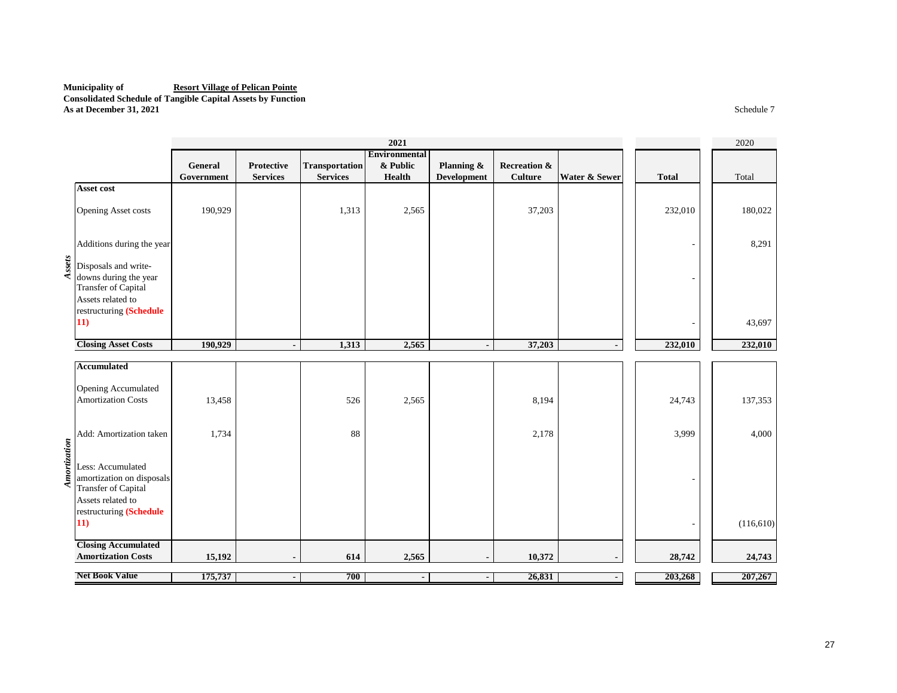## **Municipality of Resort Village of Pelican Pointe Consolidated Schedule of Tangible Capital Assets by Function**

**As at December 31, 2021** Schedule 7

|              |                                                                                                                              |                       |                                      |                                          | 2021                                |                                  |                                           |               |              | 2020       |
|--------------|------------------------------------------------------------------------------------------------------------------------------|-----------------------|--------------------------------------|------------------------------------------|-------------------------------------|----------------------------------|-------------------------------------------|---------------|--------------|------------|
|              |                                                                                                                              | General<br>Government | <b>Protective</b><br><b>Services</b> | <b>Transportation</b><br><b>Services</b> | Environmental<br>& Public<br>Health | Planning &<br><b>Development</b> | <b>Recreation &amp;</b><br><b>Culture</b> | Water & Sewer | <b>Total</b> | Total      |
|              | <b>Asset cost</b>                                                                                                            |                       |                                      |                                          |                                     |                                  |                                           |               |              |            |
|              | Opening Asset costs                                                                                                          | 190,929               |                                      | 1,313                                    | 2,565                               |                                  | 37,203                                    |               | 232,010      | 180,022    |
|              | Additions during the year                                                                                                    |                       |                                      |                                          |                                     |                                  |                                           |               |              | 8,291      |
| Assets       | Disposals and write-                                                                                                         |                       |                                      |                                          |                                     |                                  |                                           |               |              |            |
|              | downs during the year<br><b>Transfer of Capital</b><br>Assets related to                                                     |                       |                                      |                                          |                                     |                                  |                                           |               |              |            |
|              | restructuring (Schedule<br>11)                                                                                               |                       |                                      |                                          |                                     |                                  |                                           |               |              | 43,697     |
|              | <b>Closing Asset Costs</b>                                                                                                   | 190,929               | $\blacksquare$                       | 1,313                                    | 2,565                               | $\blacksquare$                   | 37,203                                    |               | 232,010      | 232,010    |
|              | <b>Accumulated</b>                                                                                                           |                       |                                      |                                          |                                     |                                  |                                           |               |              |            |
|              | Opening Accumulated<br><b>Amortization Costs</b>                                                                             | 13,458                |                                      | 526                                      | 2,565                               |                                  | 8,194                                     |               | 24,743       | 137,353    |
|              | Add: Amortization taken                                                                                                      | 1,734                 |                                      | 88                                       |                                     |                                  | 2,178                                     |               | 3,999        | 4,000      |
| Amortization | Less: Accumulated<br>amortization on disposals<br><b>Transfer of Capital</b><br>Assets related to<br>restructuring (Schedule |                       |                                      |                                          |                                     |                                  |                                           |               |              |            |
|              | 11)                                                                                                                          |                       |                                      |                                          |                                     |                                  |                                           |               |              | (116, 610) |
|              | <b>Closing Accumulated</b><br><b>Amortization Costs</b>                                                                      | 15,192                |                                      | 614                                      | 2,565                               |                                  | 10,372                                    |               | 28,742       | 24,743     |
|              | <b>Net Book Value</b>                                                                                                        | 175,737               | $\blacksquare$                       | 700                                      |                                     | $\blacksquare$                   | 26,831                                    |               | 203,268      | 207,267    |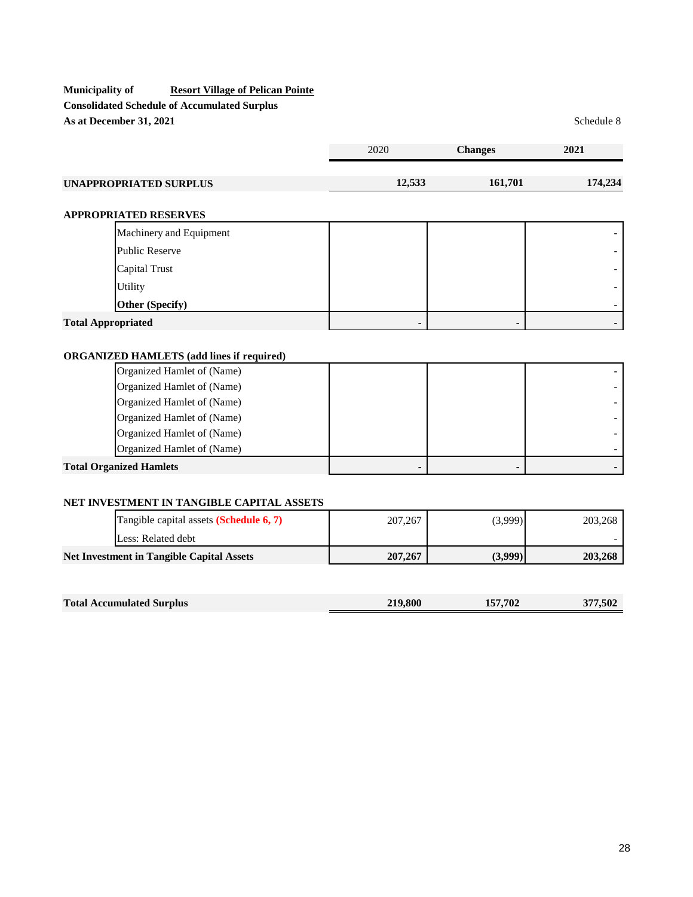# **Municipality of Resort Village of Pelican Pointe Consolidated Schedule of Accumulated Surplus** As at December 31, 2021 Schedule 8

|                        | 2020   | <b>Changes</b> | 2021    |
|------------------------|--------|----------------|---------|
|                        |        |                |         |
| UNAPPROPRIATED SURPLUS | 12,533 | 161,701        | 174,234 |

# **APPROPRIATED RESERVES**

|                           | APPROPRIATED RESERVES   |  |  |
|---------------------------|-------------------------|--|--|
|                           | Machinery and Equipment |  |  |
|                           | <b>Public Reserve</b>   |  |  |
|                           | Capital Trust           |  |  |
|                           | Utility                 |  |  |
|                           | <b>Other (Specify)</b>  |  |  |
| <b>Total Appropriated</b> |                         |  |  |

# **ORGANIZED HAMLETS (add lines if required)**

| <b>Total Organized Hamlets</b> |  |  |
|--------------------------------|--|--|
| Organized Hamlet of (Name)     |  |  |
| Organized Hamlet of (Name)     |  |  |
| Organized Hamlet of (Name)     |  |  |
| Organized Hamlet of (Name)     |  |  |
| Organized Hamlet of (Name)     |  |  |
| Organized Hamlet of (Name)     |  |  |

# **NET INVESTMENT IN TANGIBLE CAPITAL ASSETS**

| Tangible capital assets ( <b>Schedule 6, 7</b> ) | 207,267 | (3,999) | 203,268 |
|--------------------------------------------------|---------|---------|---------|
| Less: Related debt                               |         |         |         |
| <b>Net Investment in Tangible Capital Assets</b> | 207,267 | (3,999) | 203,268 |

| <b>Total Accumulated Surplus</b> | 219,800 | 157,702 | 377,502 |
|----------------------------------|---------|---------|---------|
|                                  |         |         |         |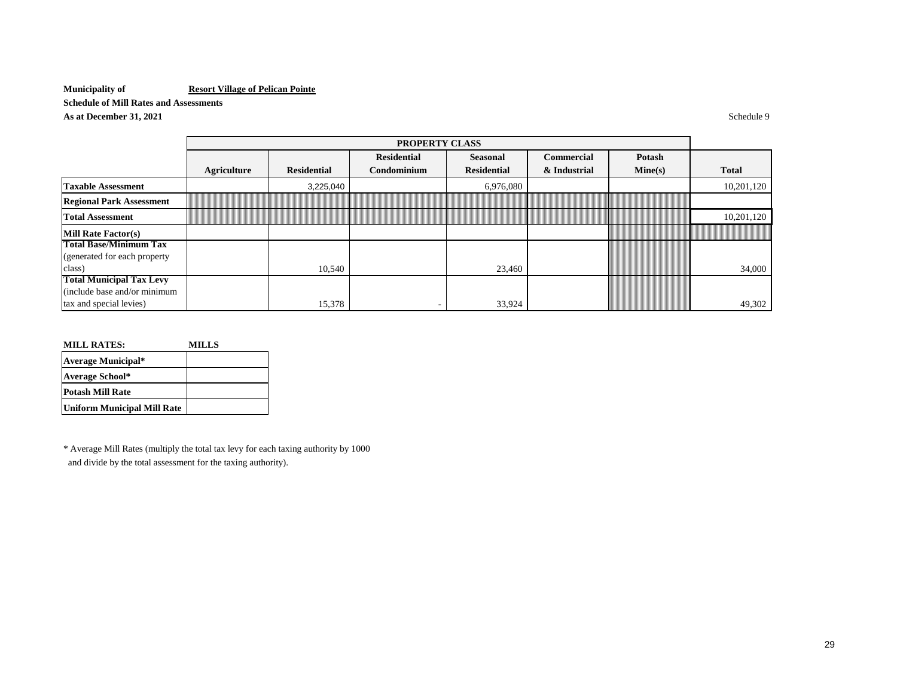**Schedule of Mill Rates and Assessments**

**As at December 31, 2021** Schedule 9

|                                 |             |                    | <b>PROPERTY CLASS</b> |                    |              |         |              |
|---------------------------------|-------------|--------------------|-----------------------|--------------------|--------------|---------|--------------|
|                                 |             |                    | <b>Residential</b>    | Seasonal           | Commercial   | Potash  |              |
|                                 | Agriculture | <b>Residential</b> | Condominium           | <b>Residential</b> | & Industrial | Mine(s) | <b>Total</b> |
| <b>Taxable Assessment</b>       |             | 3,225,040          |                       | 6,976,080          |              |         | 10,201,120   |
| <b>Regional Park Assessment</b> |             |                    |                       |                    |              |         |              |
| <b>Total Assessment</b>         |             |                    |                       |                    |              |         | 10,201,120   |
| <b>Mill Rate Factor(s)</b>      |             |                    |                       |                    |              |         |              |
| <b>Total Base/Minimum Tax</b>   |             |                    |                       |                    |              |         |              |
| (generated for each property)   |             |                    |                       |                    |              |         |              |
| class)                          |             | 10,540             |                       | 23,460             |              |         | 34,000       |
| <b>Total Municipal Tax Levy</b> |             |                    |                       |                    |              |         |              |
| (include base and/or minimum    |             |                    |                       |                    |              |         |              |
| tax and special levies)         |             | 15,378             |                       | 33,924             |              |         | 49,302       |

| <b>MILL RATES:</b>          | <b>MILLS</b> |
|-----------------------------|--------------|
| <b>Average Municipal*</b>   |              |
| <b>Average School*</b>      |              |
| <b>Potash Mill Rate</b>     |              |
| Uniform Municipal Mill Rate |              |

\* Average Mill Rates (multiply the total tax levy for each taxing authority by 1000 and divide by the total assessment for the taxing authority).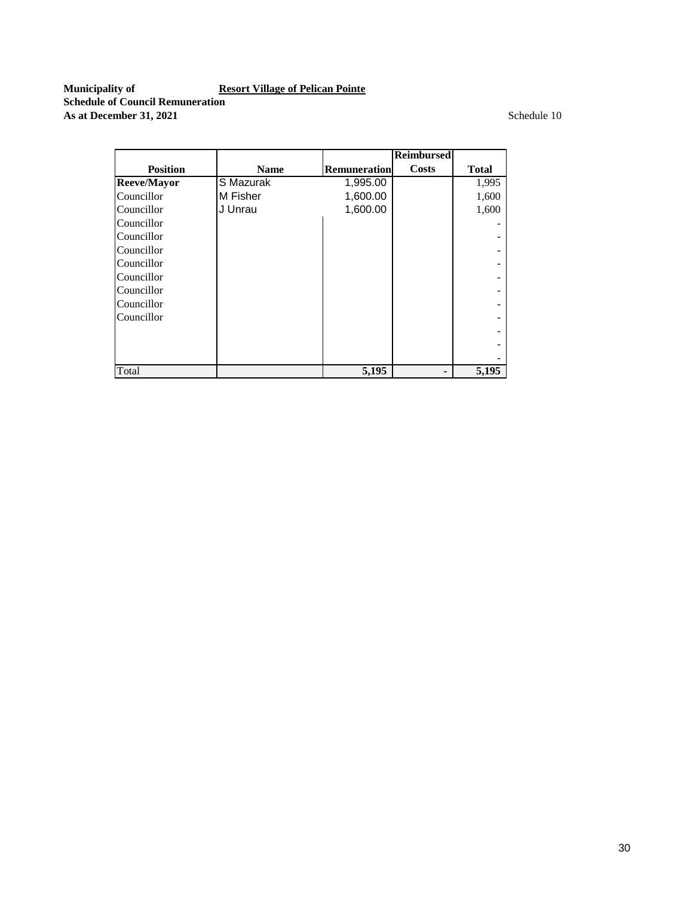**Municipality of Resort Village of Pelican Pointe Schedule of Council Remuneration As at December 31, 2021** Schedule 10

|                    |             |                     | <b>Reimbursed</b> |              |
|--------------------|-------------|---------------------|-------------------|--------------|
| <b>Position</b>    | <b>Name</b> | <b>Remuneration</b> | <b>Costs</b>      | <b>Total</b> |
| <b>Reeve/Mayor</b> | S Mazurak   | 1,995.00            |                   | 1,995        |
| Councillor         | M Fisher    | 1,600.00            |                   | 1,600        |
| Councillor         | J Unrau     | 1,600.00            |                   | 1,600        |
| Councillor         |             |                     |                   |              |
| Councillor         |             |                     |                   |              |
| Councillor         |             |                     |                   |              |
| Councillor         |             |                     |                   |              |
| Councillor         |             |                     |                   |              |
| Councillor         |             |                     |                   |              |
| Councillor         |             |                     |                   |              |
| Councillor         |             |                     |                   |              |
|                    |             |                     |                   |              |
|                    |             |                     |                   |              |
|                    |             |                     |                   |              |
| Total              |             | 5,195               |                   | 5,195        |